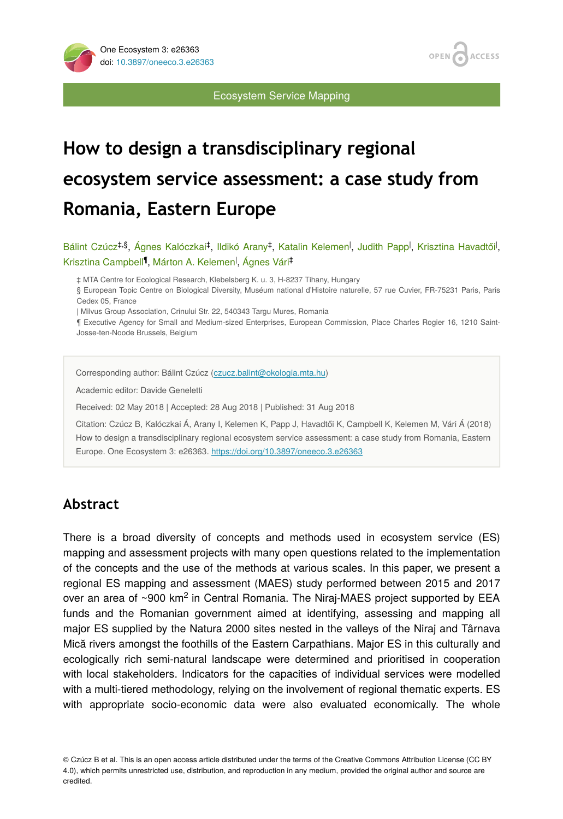



Ecosystem Service Mapping

# **How to design a transdisciplinary regional ecosystem service assessment: a case study from Romania, Eastern Europe**

Bálint Czúcz<sup>‡,§</sup>, Ágnes Kalóczkai<sup>‡</sup>, Ildikó Arany<sup>‡</sup>, Katalin Kelemen<sup>1</sup>, Judith Papp<sup>1</sup>, Krisztina Havadtői<sup>1</sup>, Krisztina Campbell<sup>¶</sup>, Márton A. Kelemen<sup>l</sup>, Ágnes Vári<sup>‡</sup>

‡ MTA Centre for Ecological Research, Klebelsberg K. u. 3, H-8237 Tihany, Hungary

§ European Topic Centre on Biological Diversity, Muséum national d'Histoire naturelle, 57 rue Cuvier, FR-75231 Paris, Paris Cedex 05, France

| Milvus Group Association, Crinului Str. 22, 540343 Targu Mures, Romania

¶ Executive Agency for Small and Medium-sized Enterprises, European Commission, Place Charles Rogier 16, 1210 Saint-Josse-ten-Noode Brussels, Belgium

Corresponding author: Bálint Czúcz [\(czucz.balint@okologia.mta.hu](mailto:czucz.balint@okologia.mta.hu))

Academic editor: Davide Geneletti

Received: 02 May 2018 | Accepted: 28 Aug 2018 | Published: 31 Aug 2018

Citation: Czúcz B, Kalóczkai Á, Arany I, Kelemen K, Papp J, Havadtői K, Campbell K, Kelemen M, Vári Á (2018) How to design a transdisciplinary regional ecosystem service assessment: a case study from Romania, Eastern Europe. One Ecosystem 3: e26363.<https://doi.org/10.3897/oneeco.3.e26363>

# **Abstract**

There is a broad diversity of concepts and methods used in ecosystem service (ES) mapping and assessment projects with many open questions related to the implementation of the concepts and the use of the methods at various scales. In this paper, we present a regional ES mapping and assessment (MAES) study performed between 2015 and 2017 over an area of ~900 km<sup>2</sup> in Central Romania. The Niraj-MAES project supported by EEA funds and the Romanian government aimed at identifying, assessing and mapping all major ES supplied by the Natura 2000 sites nested in the valleys of the Niraj and Târnava Mică rivers amongst the foothills of the Eastern Carpathians. Major ES in this culturally and ecologically rich semi-natural landscape were determined and prioritised in cooperation with local stakeholders. Indicators for the capacities of individual services were modelled with a multi-tiered methodology, relying on the involvement of regional thematic experts. ES with appropriate socio-economic data were also evaluated economically. The whole

© Czúcz B et al. This is an open access article distributed under the terms of the Creative Commons Attribution License (CC BY 4.0), which permits unrestricted use, distribution, and reproduction in any medium, provided the original author and source are credited.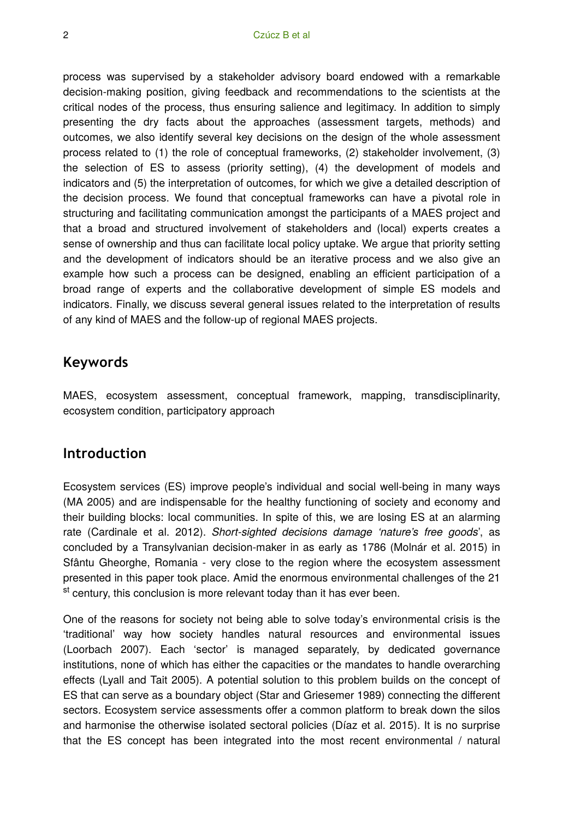process was supervised by a stakeholder advisory board endowed with a remarkable decision-making position, giving feedback and recommendations to the scientists at the critical nodes of the process, thus ensuring salience and legitimacy. In addition to simply presenting the dry facts about the approaches (assessment targets, methods) and outcomes, we also identify several key decisions on the design of the whole assessment process related to (1) the role of conceptual frameworks, (2) stakeholder involvement, (3) the selection of ES to assess (priority setting), (4) the development of models and indicators and (5) the interpretation of outcomes, for which we give a detailed description of the decision process. We found that conceptual frameworks can have a pivotal role in structuring and facilitating communication amongst the participants of a MAES project and that a broad and structured involvement of stakeholders and (local) experts creates a sense of ownership and thus can facilitate local policy uptake. We argue that priority setting and the development of indicators should be an iterative process and we also give an example how such a process can be designed, enabling an efficient participation of a broad range of experts and the collaborative development of simple ES models and indicators. Finally, we discuss several general issues related to the interpretation of results of any kind of MAES and the follow-up of regional MAES projects.

# **Keywords**

MAES, ecosystem assessment, conceptual framework, mapping, transdisciplinarity, ecosystem condition, participatory approach

## **Introduction**

Ecosystem services (ES) improve people's individual and social well-being in many ways (MA 2005) and are indispensable for the healthy functioning of society and economy and their building blocks: local communities. In spite of this, we are losing ES at an alarming rate (Cardinale et al. 2012). *Short-sighted decisions damage 'nature's free goods*', as concluded by a Transylvanian decision-maker in as early as 1786 (Molnár et al. 2015) in Sfântu Gheorghe, Romania - very close to the region where the ecosystem assessment presented in this paper took place. Amid the enormous environmental challenges of the 21 <sup>st</sup> century, this conclusion is more relevant today than it has ever been.

One of the reasons for society not being able to solve today's environmental crisis is the 'traditional' way how society handles natural resources and environmental issues (Loorbach 2007). Each 'sector' is managed separately, by dedicated governance institutions, none of which has either the capacities or the mandates to handle overarching effects (Lyall and Tait 2005). A potential solution to this problem builds on the concept of ES that can serve as a boundary object (Star and Griesemer 1989) connecting the different sectors. Ecosystem service assessments offer a common platform to break down the silos and harmonise the otherwise isolated sectoral policies (Díaz et al. 2015). It is no surprise that the ES concept has been integrated into the most recent environmental / natural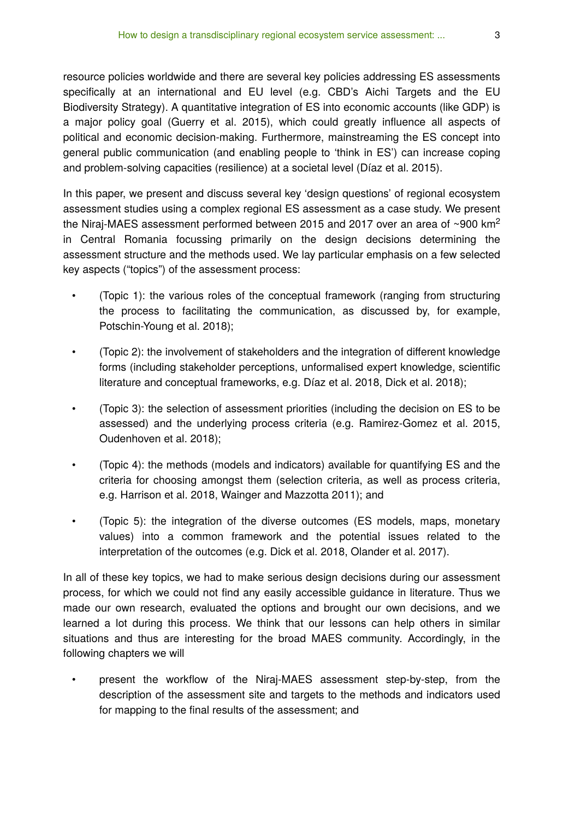resource policies worldwide and there are several key policies addressing ES assessments specifically at an international and EU level (e.g. CBD's Aichi Targets and the EU Biodiversity Strategy). A quantitative integration of ES into economic accounts (like GDP) is a major policy goal (Guerry et al. 2015), which could greatly influence all aspects of political and economic decision-making. Furthermore, mainstreaming the ES concept into general public communication (and enabling people to 'think in ES') can increase coping and problem-solving capacities (resilience) at a societal level (Díaz et al. 2015).

In this paper, we present and discuss several key 'design questions' of regional ecosystem assessment studies using a complex regional ES assessment as a case study. We present the Niraj-MAES assessment performed between 2015 and 2017 over an area of ~900 km<sup>2</sup> in Central Romania focussing primarily on the design decisions determining the assessment structure and the methods used. We lay particular emphasis on a few selected key aspects ("topics") of the assessment process:

- (Topic 1): the various roles of the conceptual framework (ranging from structuring the process to facilitating the communication, as discussed by, for example, Potschin-Young et al. 2018);
- (Topic 2): the involvement of stakeholders and the integration of different knowledge forms (including stakeholder perceptions, unformalised expert knowledge, scientific literature and conceptual frameworks, e.g. Díaz et al. 2018, Dick et al. 2018);
- (Topic 3): the selection of assessment priorities (including the decision on ES to be assessed) and the underlying process criteria (e.g. Ramirez-Gomez et al. 2015, Oudenhoven et al. 2018);
- (Topic 4): the methods (models and indicators) available for quantifying ES and the criteria for choosing amongst them (selection criteria, as well as process criteria, e.g. Harrison et al. 2018, Wainger and Mazzotta 2011); and
- (Topic 5): the integration of the diverse outcomes (ES models, maps, monetary values) into a common framework and the potential issues related to the interpretation of the outcomes (e.g. Dick et al. 2018, Olander et al. 2017).

In all of these key topics, we had to make serious design decisions during our assessment process, for which we could not find any easily accessible guidance in literature. Thus we made our own research, evaluated the options and brought our own decisions, and we learned a lot during this process. We think that our lessons can help others in similar situations and thus are interesting for the broad MAES community. Accordingly, in the following chapters we will

• present the workflow of the Niraj-MAES assessment step-by-step, from the description of the assessment site and targets to the methods and indicators used for mapping to the final results of the assessment; and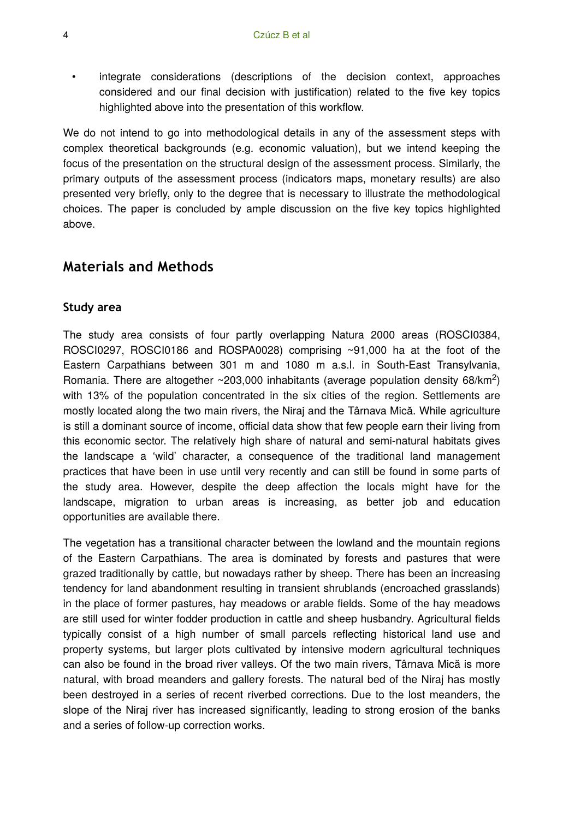• integrate considerations (descriptions of the decision context, approaches considered and our final decision with justification) related to the five key topics highlighted above into the presentation of this workflow.

We do not intend to go into methodological details in any of the assessment steps with complex theoretical backgrounds (e.g. economic valuation), but we intend keeping the focus of the presentation on the structural design of the assessment process. Similarly, the primary outputs of the assessment process (indicators maps, monetary results) are also presented very briefly, only to the degree that is necessary to illustrate the methodological choices. The paper is concluded by ample discussion on the five key topics highlighted above.

# **Materials and Methods**

#### **Study area**

The study area consists of four partly overlapping Natura 2000 areas (ROSCI0384, ROSCI0297, ROSCI0186 and ROSPA0028) comprising ~91,000 ha at the foot of the Eastern Carpathians between 301 m and 1080 m a.s.l. in South-East Transylvania, Romania. There are altogether ~203,000 inhabitants (average population density 68/km<sup>2</sup>) with 13% of the population concentrated in the six cities of the region. Settlements are mostly located along the two main rivers, the Niraj and the Târnava Mică. While agriculture is still a dominant source of income, official data show that few people earn their living from this economic sector. The relatively high share of natural and semi-natural habitats gives the landscape a 'wild' character, a consequence of the traditional land management practices that have been in use until very recently and can still be found in some parts of the study area. However, despite the deep affection the locals might have for the landscape, migration to urban areas is increasing, as better job and education opportunities are available there.

The vegetation has a transitional character between the lowland and the mountain regions of the Eastern Carpathians. The area is dominated by forests and pastures that were grazed traditionally by cattle, but nowadays rather by sheep. There has been an increasing tendency for land abandonment resulting in transient shrublands (encroached grasslands) in the place of former pastures, hay meadows or arable fields. Some of the hay meadows are still used for winter fodder production in cattle and sheep husbandry. Agricultural fields typically consist of a high number of small parcels reflecting historical land use and property systems, but larger plots cultivated by intensive modern agricultural techniques can also be found in the broad river valleys. Of the two main rivers, Târnava Mică is more natural, with broad meanders and gallery forests. The natural bed of the Niraj has mostly been destroyed in a series of recent riverbed corrections. Due to the lost meanders, the slope of the Niraj river has increased significantly, leading to strong erosion of the banks and a series of follow-up correction works.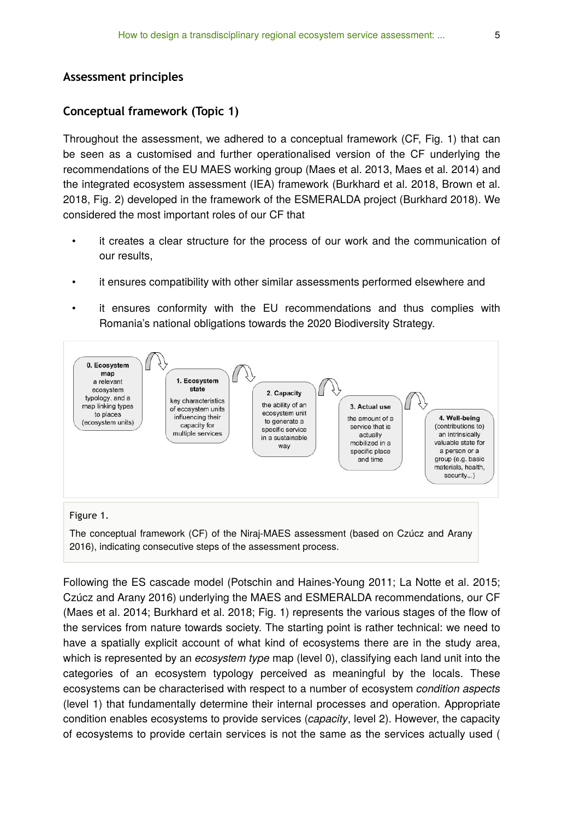#### **Assessment principles**

#### **Conceptual framework (Topic 1)**

Throughout the assessment, we adhered to a conceptual framework (CF, Fig. 1) that can be seen as a customised and further operationalised version of the CF underlying the recommendations of the EU MAES working group (Maes et al. 2013, Maes et al. 2014) and the integrated ecosystem assessment (IEA) framework (Burkhard et al. 2018, Brown et al. 2018, Fig. 2) developed in the framework of the ESMERALDA project (Burkhard 2018). We considered the most important roles of our CF that

- it creates a clear structure for the process of our work and the communication of our results,
- it ensures compatibility with other similar assessments performed elsewhere and
- it ensures conformity with the EU recommendations and thus complies with Romania's national obligations towards the 2020 Biodiversity Strategy.



The conceptual framework (CF) of the Niraj-MAES assessment (based on Czúcz and Arany 2016), indicating consecutive steps of the assessment process.

Following the ES cascade model (Potschin and Haines-Young 2011; La Notte et al. 2015; Czúcz and Arany 2016) underlying the MAES and ESMERALDA recommendations, our CF (Maes et al. 2014; Burkhard et al. 2018; Fig. 1) represents the various stages of the flow of the services from nature towards society. The starting point is rather technical: we need to have a spatially explicit account of what kind of ecosystems there are in the study area, which is represented by an *ecosystem type* map (level 0), classifying each land unit into the categories of an ecosystem typology perceived as meaningful by the locals. These ecosystems can be characterised with respect to a number of ecosystem *condition aspects* (level 1) that fundamentally determine their internal processes and operation. Appropriate condition enables ecosystems to provide services (*capacity*, level 2). However, the capacity of ecosystems to provide certain services is not the same as the services actually used (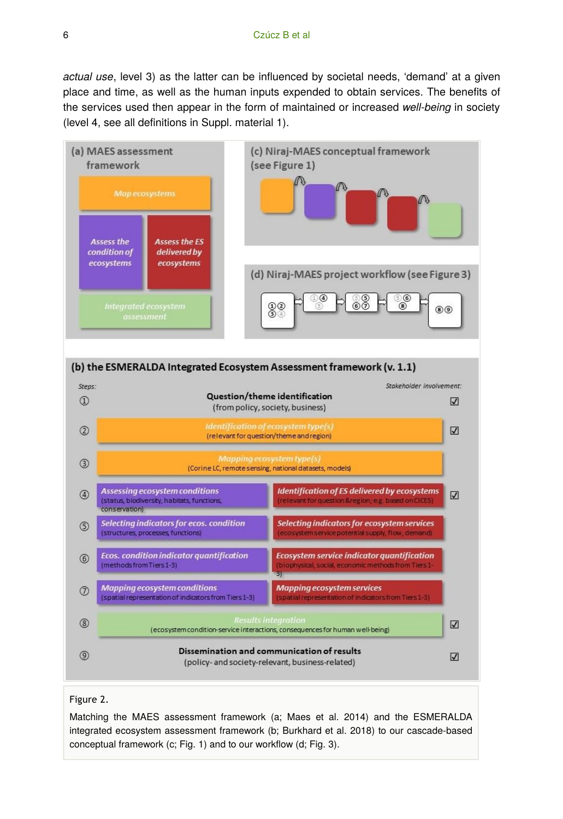*actual use*, level 3) as the latter can be influenced by societal needs, 'demand' at a given place and time, as well as the human inputs expended to obtain services. The benefits of the services used then appear in the form of maintained or increased *well-being* in society (level 4, see all definitions in Suppl. material 1).





#### Figure 2.

Matching the MAES assessment framework (a; Maes et al. 2014) and the ESMERALDA integrated ecosystem assessment framework (b; Burkhard et al. 2018) to our cascade-based conceptual framework (c; Fig. 1) and to our workflow (d; Fig. 3).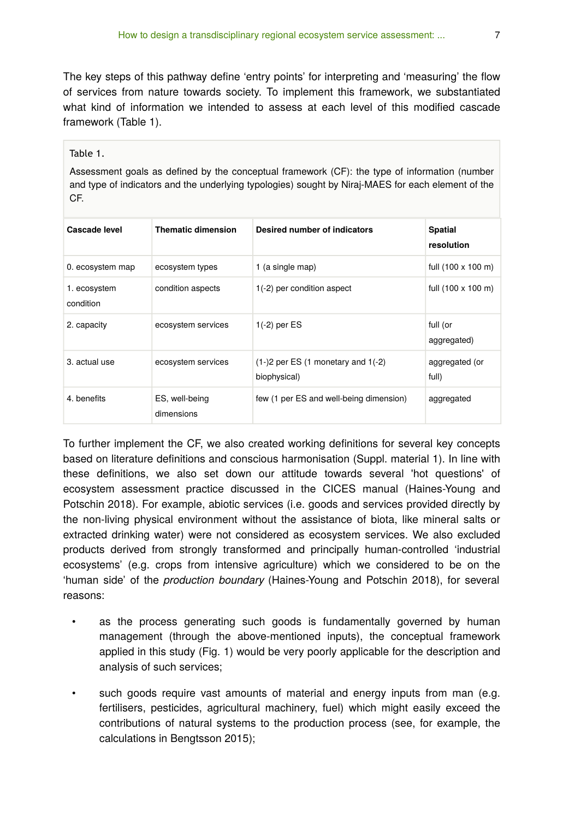The key steps of this pathway define 'entry points' for interpreting and 'measuring' the flow of services from nature towards society. To implement this framework, we substantiated what kind of information we intended to assess at each level of this modified cascade framework (Table 1).

#### Table 1.

Assessment goals as defined by the conceptual framework (CF): the type of information (number and type of indicators and the underlying typologies) sought by Niraj-MAES for each element of the CF.

| Cascade level             | <b>Thematic dimension</b>    | Desired number of indicators                                     | <b>Spatial</b><br>resolution |
|---------------------------|------------------------------|------------------------------------------------------------------|------------------------------|
| 0. ecosystem map          | ecosystem types              | 1 (a single map)                                                 | full (100 x 100 m)           |
| 1. ecosystem<br>condition | condition aspects            | $1(-2)$ per condition aspect                                     | full (100 x 100 m)           |
| 2. capacity               | ecosystem services           | $1(-2)$ per ES                                                   | full (or<br>aggregated)      |
| 3. actual use             | ecosystem services           | $(1-)2$ per ES $(1 \text{ monetary and } 1(-2))$<br>biophysical) | aggregated (or<br>full)      |
| 4. benefits               | ES, well-being<br>dimensions | few (1 per ES and well-being dimension)                          | aggregated                   |

To further implement the CF, we also created working definitions for several key concepts based on literature definitions and conscious harmonisation (Suppl. material 1). In line with these definitions, we also set down our attitude towards several 'hot questions' of ecosystem assessment practice discussed in the CICES manual (Haines-Young and Potschin 2018). For example, abiotic services (i.e. goods and services provided directly by the non-living physical environment without the assistance of biota, like mineral salts or extracted drinking water) were not considered as ecosystem services. We also excluded products derived from strongly transformed and principally human-controlled 'industrial ecosystems' (e.g. crops from intensive agriculture) which we considered to be on the 'human side' of the *production boundary* (Haines-Young and Potschin 2018), for several reasons:

- as the process generating such goods is fundamentally governed by human management (through the above-mentioned inputs), the conceptual framework applied in this study (Fig. 1) would be very poorly applicable for the description and analysis of such services;
- such goods require vast amounts of material and energy inputs from man (e.g. fertilisers, pesticides, agricultural machinery, fuel) which might easily exceed the contributions of natural systems to the production process (see, for example, the calculations in Bengtsson 2015);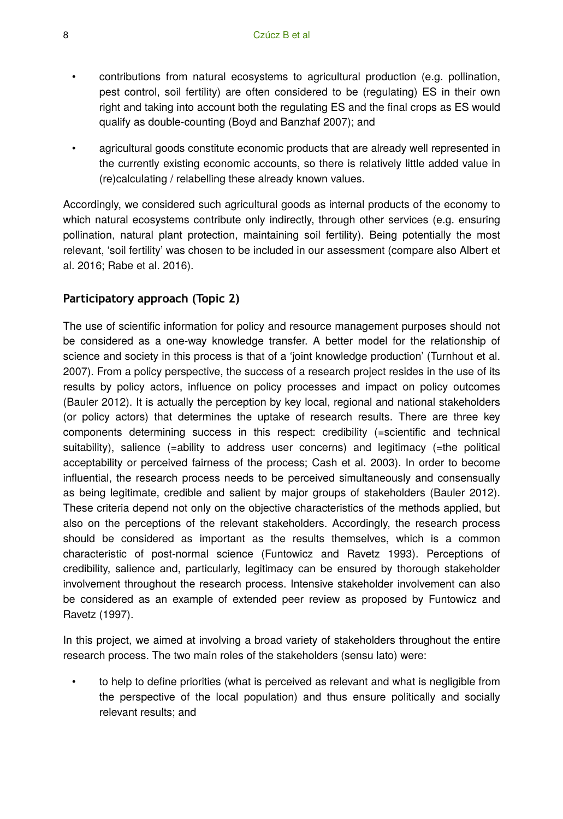- contributions from natural ecosystems to agricultural production (e.g. pollination, pest control, soil fertility) are often considered to be (regulating) ES in their own right and taking into account both the regulating ES and the final crops as ES would qualify as double-counting (Boyd and Banzhaf 2007); and
- agricultural goods constitute economic products that are already well represented in the currently existing economic accounts, so there is relatively little added value in (re)calculating / relabelling these already known values.

Accordingly, we considered such agricultural goods as internal products of the economy to which natural ecosystems contribute only indirectly, through other services (e.g. ensuring pollination, natural plant protection, maintaining soil fertility). Being potentially the most relevant, 'soil fertility' was chosen to be included in our assessment (compare also Albert et al. 2016; Rabe et al. 2016).

## **Participatory approach (Topic 2)**

The use of scientific information for policy and resource management purposes should not be considered as a one-way knowledge transfer. A better model for the relationship of science and society in this process is that of a 'joint knowledge production' (Turnhout et al. 2007). From a policy perspective, the success of a research project resides in the use of its results by policy actors, influence on policy processes and impact on policy outcomes (Bauler 2012). It is actually the perception by key local, regional and national stakeholders (or policy actors) that determines the uptake of research results. There are three key components determining success in this respect: credibility (=scientific and technical suitability), salience (=ability to address user concerns) and legitimacy (=the political acceptability or perceived fairness of the process; Cash et al. 2003). In order to become influential, the research process needs to be perceived simultaneously and consensually as being legitimate, credible and salient by major groups of stakeholders (Bauler 2012). These criteria depend not only on the objective characteristics of the methods applied, but also on the perceptions of the relevant stakeholders. Accordingly, the research process should be considered as important as the results themselves, which is a common characteristic of post-normal science (Funtowicz and Ravetz 1993). Perceptions of credibility, salience and, particularly, legitimacy can be ensured by thorough stakeholder involvement throughout the research process. Intensive stakeholder involvement can also be considered as an example of extended peer review as proposed by Funtowicz and Ravetz (1997).

In this project, we aimed at involving a broad variety of stakeholders throughout the entire research process. The two main roles of the stakeholders (sensu lato) were:

• to help to define priorities (what is perceived as relevant and what is negligible from the perspective of the local population) and thus ensure politically and socially relevant results; and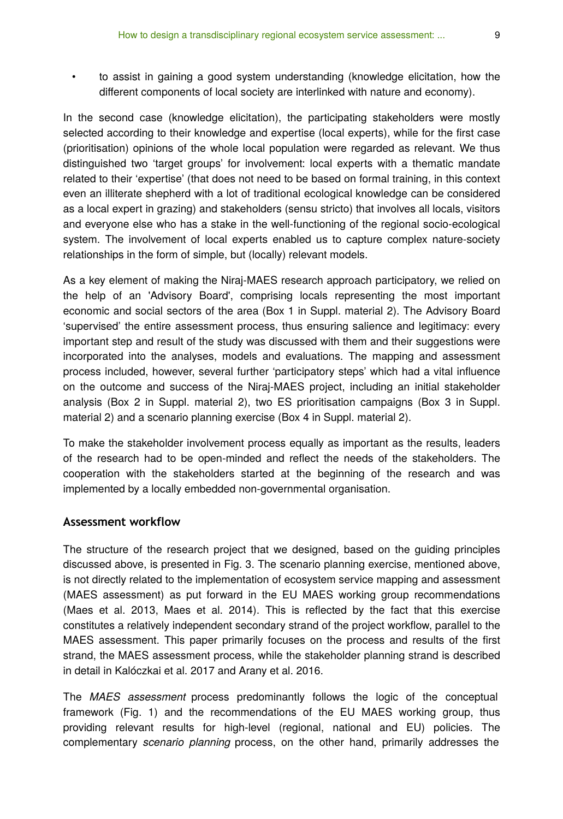• to assist in gaining a good system understanding (knowledge elicitation, how the different components of local society are interlinked with nature and economy).

In the second case (knowledge elicitation), the participating stakeholders were mostly selected according to their knowledge and expertise (local experts), while for the first case (prioritisation) opinions of the whole local population were regarded as relevant. We thus distinguished two 'target groups' for involvement: local experts with a thematic mandate related to their 'expertise' (that does not need to be based on formal training, in this context even an illiterate shepherd with a lot of traditional ecological knowledge can be considered as a local expert in grazing) and stakeholders (sensu stricto) that involves all locals, visitors and everyone else who has a stake in the well-functioning of the regional socio-ecological system. The involvement of local experts enabled us to capture complex nature-society relationships in the form of simple, but (locally) relevant models.

As a key element of making the Niraj-MAES research approach participatory, we relied on the help of an 'Advisory Board', comprising locals representing the most important economic and social sectors of the area (Box 1 in Suppl. material 2). The Advisory Board 'supervised' the entire assessment process, thus ensuring salience and legitimacy: every important step and result of the study was discussed with them and their suggestions were incorporated into the analyses, models and evaluations. The mapping and assessment process included, however, several further 'participatory steps' which had a vital influence on the outcome and success of the Niraj-MAES project, including an initial stakeholder analysis (Box 2 in Suppl. material 2), two ES prioritisation campaigns (Box 3 in Suppl. material 2) and a scenario planning exercise (Box 4 in Suppl. material 2).

To make the stakeholder involvement process equally as important as the results, leaders of the research had to be open-minded and reflect the needs of the stakeholders. The cooperation with the stakeholders started at the beginning of the research and was implemented by a locally embedded non-governmental organisation.

#### **Assessment workflow**

The structure of the research project that we designed, based on the guiding principles discussed above, is presented in Fig. 3. The scenario planning exercise, mentioned above, is not directly related to the implementation of ecosystem service mapping and assessment (MAES assessment) as put forward in the EU MAES working group recommendations (Maes et al. 2013, Maes et al. 2014). This is reflected by the fact that this exercise constitutes a relatively independent secondary strand of the project workflow, parallel to the MAES assessment. This paper primarily focuses on the process and results of the first strand, the MAES assessment process, while the stakeholder planning strand is described in detail in Kalóczkai et al. 2017 and Arany et al. 2016.

The *MAES assessment* process predominantly follows the logic of the conceptual framework (Fig. 1) and the recommendations of the EU MAES working group, thus providing relevant results for high-level (regional, national and EU) policies. The complementary *scenario planning* process, on the other hand, primarily addresses the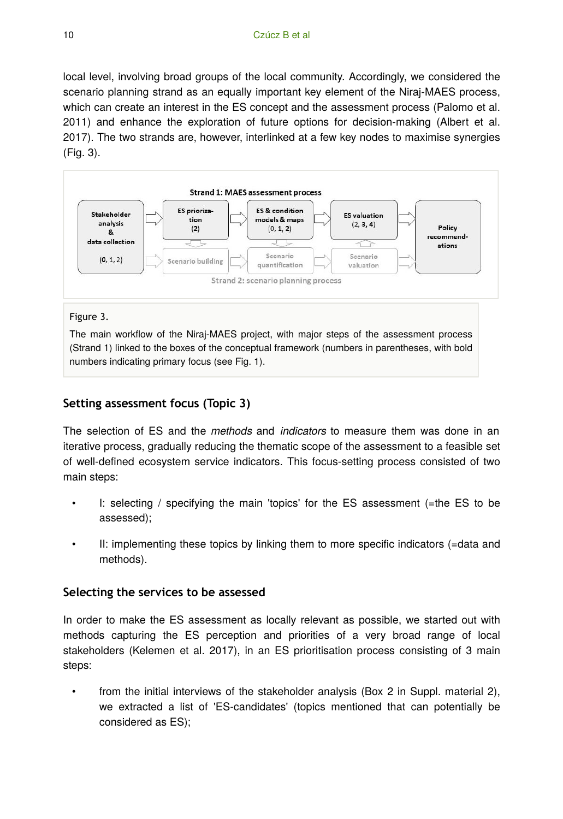local level, involving broad groups of the local community. Accordingly, we considered the scenario planning strand as an equally important key element of the Niraj-MAES process, which can create an interest in the ES concept and the assessment process (Palomo et al. 2011) and enhance the exploration of future options for decision-making (Albert et al. 2017). The two strands are, however, interlinked at a few key nodes to maximise synergies (Fig. 3).



#### Figure 3.

The main workflow of the Niraj-MAES project, with major steps of the assessment process (Strand 1) linked to the boxes of the conceptual framework (numbers in parentheses, with bold numbers indicating primary focus (see Fig. 1).

## **Setting assessment focus (Topic 3)**

The selection of ES and the *methods* and *indicators* to measure them was done in an iterative process, gradually reducing the thematic scope of the assessment to a feasible set of well-defined ecosystem service indicators. This focus-setting process consisted of two main steps:

- I: selecting / specifying the main 'topics' for the ES assessment (=the ES to be assessed);
- II: implementing these topics by linking them to more specific indicators (=data and methods).

## **Selecting the services to be assessed**

In order to make the ES assessment as locally relevant as possible, we started out with methods capturing the ES perception and priorities of a very broad range of local stakeholders (Kelemen et al. 2017), in an ES prioritisation process consisting of 3 main steps:

• from the initial interviews of the stakeholder analysis (Box 2 in Suppl. material 2), we extracted a list of 'ES-candidates' (topics mentioned that can potentially be considered as ES);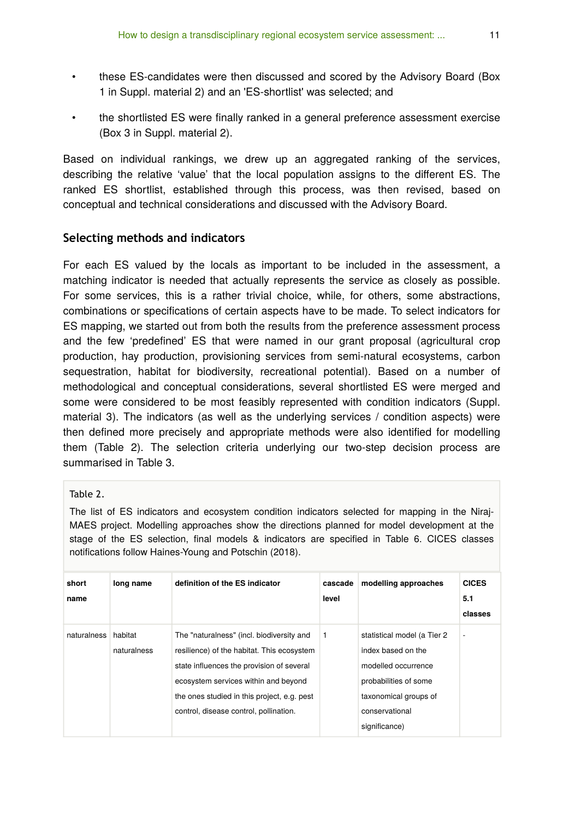- these ES-candidates were then discussed and scored by the Advisory Board (Box 1 in Suppl. material 2) and an 'ES-shortlist' was selected; and
- the shortlisted ES were finally ranked in a general preference assessment exercise (Box 3 in Suppl. material 2).

Based on individual rankings, we drew up an aggregated ranking of the services, describing the relative 'value' that the local population assigns to the different ES. The ranked ES shortlist, established through this process, was then revised, based on conceptual and technical considerations and discussed with the Advisory Board.

## **Selecting methods and indicators**

For each ES valued by the locals as important to be included in the assessment, a matching indicator is needed that actually represents the service as closely as possible. For some services, this is a rather trivial choice, while, for others, some abstractions, combinations or specifications of certain aspects have to be made. To select indicators for ES mapping, we started out from both the results from the preference assessment process and the few 'predefined' ES that were named in our grant proposal (agricultural crop production, hay production, provisioning services from semi-natural ecosystems, carbon sequestration, habitat for biodiversity, recreational potential). Based on a number of methodological and conceptual considerations, several shortlisted ES were merged and some were considered to be most feasibly represented with condition indicators (Suppl. material 3). The indicators (as well as the underlying services / condition aspects) were then defined more precisely and appropriate methods were also identified for modelling them (Table 2). The selection criteria underlying our two-step decision process are summarised in Table 3.

#### Table 2.

The list of ES indicators and ecosystem condition indicators selected for mapping in the Niraj-MAES project. Modelling approaches show the directions planned for model development at the stage of the ES selection, final models & indicators are specified in Table 6. CICES classes notifications follow Haines-Young and Potschin (2018).

| short<br>name | long name              | definition of the ES indicator                                                                                                                                                                                                                                        | cascade<br>level | modelling approaches                                                                                                                                          | <b>CICES</b><br>5.1<br>classes |
|---------------|------------------------|-----------------------------------------------------------------------------------------------------------------------------------------------------------------------------------------------------------------------------------------------------------------------|------------------|---------------------------------------------------------------------------------------------------------------------------------------------------------------|--------------------------------|
| naturalness   | habitat<br>naturalness | The "naturalness" (incl. biodiversity and<br>resilience) of the habitat. This ecosystem<br>state influences the provision of several<br>ecosystem services within and beyond<br>the ones studied in this project, e.g. pest<br>control, disease control, pollination. | -1               | statistical model (a Tier 2<br>index based on the<br>modelled occurrence<br>probabilities of some<br>taxonomical groups of<br>conservational<br>significance) | ٠                              |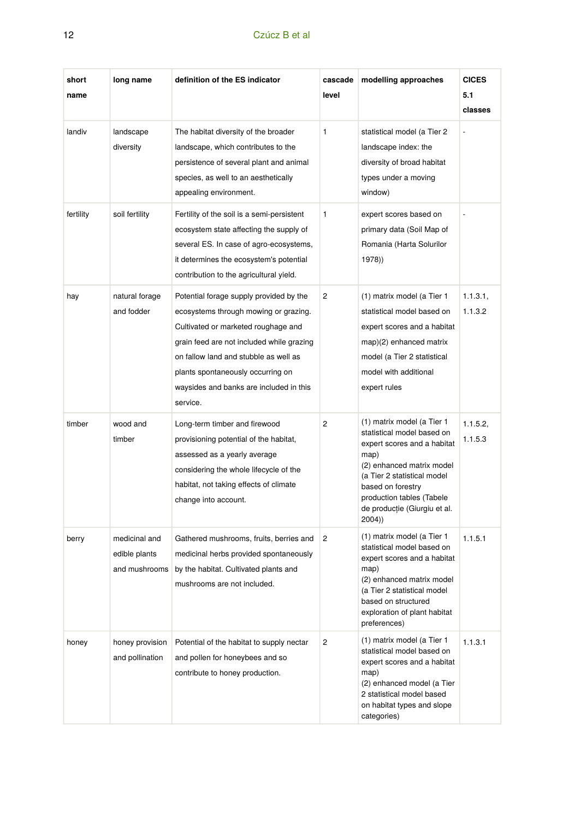# 12 Czúcz B et al.

| short<br>name | long name                                       | definition of the ES indicator                                                                                                                                                                                                                                                                            | cascade<br>level | modelling approaches                                                                                                                                                                                                                                    | <b>CICES</b><br>5.1<br>classes |
|---------------|-------------------------------------------------|-----------------------------------------------------------------------------------------------------------------------------------------------------------------------------------------------------------------------------------------------------------------------------------------------------------|------------------|---------------------------------------------------------------------------------------------------------------------------------------------------------------------------------------------------------------------------------------------------------|--------------------------------|
| landiv        | landscape<br>diversity                          | The habitat diversity of the broader<br>landscape, which contributes to the<br>persistence of several plant and animal<br>species, as well to an aesthetically<br>appealing environment.                                                                                                                  | $\mathbf{1}$     | statistical model (a Tier 2<br>landscape index: the<br>diversity of broad habitat<br>types under a moving<br>window)                                                                                                                                    |                                |
| fertility     | soil fertility                                  | Fertility of the soil is a semi-persistent<br>ecosystem state affecting the supply of<br>several ES. In case of agro-ecosystems,<br>it determines the ecosystem's potential<br>contribution to the agricultural yield.                                                                                    | $\mathbf{1}$     | expert scores based on<br>primary data (Soil Map of<br>Romania (Harta Solurilor<br>1978))                                                                                                                                                               |                                |
| hay           | natural forage<br>and fodder                    | Potential forage supply provided by the<br>ecosystems through mowing or grazing.<br>Cultivated or marketed roughage and<br>grain feed are not included while grazing<br>on fallow land and stubble as well as<br>plants spontaneously occurring on<br>waysides and banks are included in this<br>service. | 2                | (1) matrix model (a Tier 1<br>statistical model based on<br>expert scores and a habitat<br>map)(2) enhanced matrix<br>model (a Tier 2 statistical<br>model with additional<br>expert rules                                                              | 1.1.3.1,<br>1.1.3.2            |
| timber        | wood and<br>timber                              | Long-term timber and firewood<br>provisioning potential of the habitat,<br>assessed as a yearly average<br>considering the whole lifecycle of the<br>habitat, not taking effects of climate<br>change into account.                                                                                       | $\overline{2}$   | (1) matrix model (a Tier 1<br>statistical model based on<br>expert scores and a habitat<br>map)<br>(2) enhanced matrix model<br>(a Tier 2 statistical model<br>based on forestry<br>production tables (Tabele<br>de producție (Giurgiu et al.<br>2004)) | 1.1.5.2,<br>1.1.5.3            |
| berry         | medicinal and<br>edible plants<br>and mushrooms | Gathered mushrooms, fruits, berries and<br>medicinal herbs provided spontaneously<br>by the habitat. Cultivated plants and<br>mushrooms are not included.                                                                                                                                                 | $\overline{c}$   | (1) matrix model (a Tier 1<br>statistical model based on<br>expert scores and a habitat<br>map)<br>(2) enhanced matrix model<br>(a Tier 2 statistical model<br>based on structured<br>exploration of plant habitat<br>preferences)                      | 1.1.5.1                        |
| honey         | honey provision<br>and pollination              | Potential of the habitat to supply nectar<br>and pollen for honeybees and so<br>contribute to honey production.                                                                                                                                                                                           | $\overline{2}$   | (1) matrix model (a Tier 1<br>statistical model based on<br>expert scores and a habitat<br>map)<br>(2) enhanced model (a Tier<br>2 statistical model based<br>on habitat types and slope<br>categories)                                                 | 1.1.3.1                        |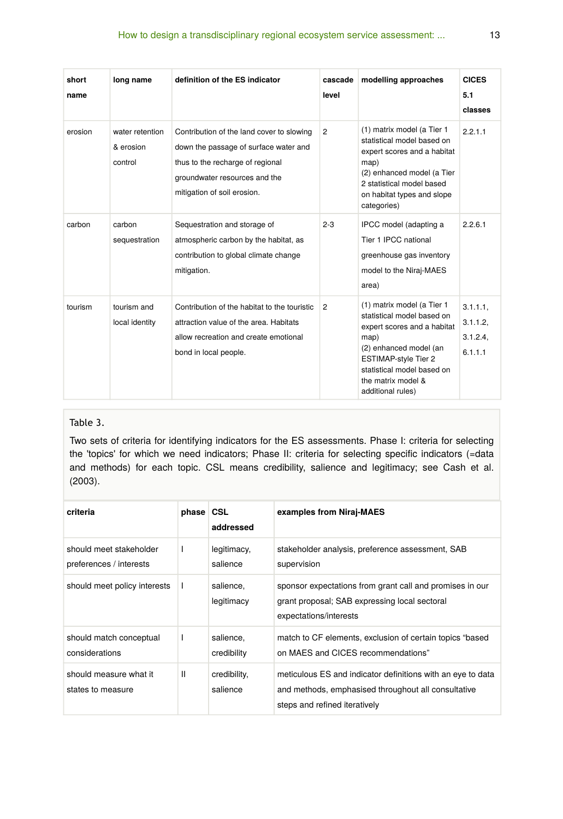| short<br>name | long name                               | definition of the ES indicator                                                                                                                                                         | cascade<br>level | modelling approaches                                                                                                                                                                                                       | <b>CICES</b><br>5.1<br>classes        |
|---------------|-----------------------------------------|----------------------------------------------------------------------------------------------------------------------------------------------------------------------------------------|------------------|----------------------------------------------------------------------------------------------------------------------------------------------------------------------------------------------------------------------------|---------------------------------------|
| erosion       | water retention<br>& erosion<br>control | Contribution of the land cover to slowing<br>down the passage of surface water and<br>thus to the recharge of regional<br>groundwater resources and the<br>mitigation of soil erosion. | $\overline{2}$   | (1) matrix model (a Tier 1<br>statistical model based on<br>expert scores and a habitat<br>map)<br>(2) enhanced model (a Tier<br>2 statistical model based<br>on habitat types and slope<br>categories)                    | 2.2.1.1                               |
| carbon        | carbon<br>sequestration                 | Sequestration and storage of<br>atmospheric carbon by the habitat, as<br>contribution to global climate change<br>mitigation.                                                          | $2 - 3$          | IPCC model (adapting a<br>Tier 1 IPCC national<br>greenhouse gas inventory<br>model to the Niraj-MAES<br>area)                                                                                                             | 2.2.6.1                               |
| tourism       | tourism and<br>local identity           | Contribution of the habitat to the touristic<br>attraction value of the area. Habitats<br>allow recreation and create emotional<br>bond in local people.                               | $\overline{2}$   | (1) matrix model (a Tier 1<br>statistical model based on<br>expert scores and a habitat<br>map)<br>(2) enhanced model (an<br>ESTIMAP-style Tier 2<br>statistical model based on<br>the matrix model &<br>additional rules) | 3.1.1.1<br>3.1.1.2<br>3.1.2.4<br>6111 |

#### Table 3.

Two sets of criteria for identifying indicators for the ES assessments. Phase I: criteria for selecting the 'topics' for which we need indicators; Phase II: criteria for selecting specific indicators (=data and methods) for each topic. CSL means credibility, salience and legitimacy; see Cash et al. (2003).

| criteria                                           | phase CSL | addressed                | examples from Niraj-MAES                                                                                                                            |
|----------------------------------------------------|-----------|--------------------------|-----------------------------------------------------------------------------------------------------------------------------------------------------|
| should meet stakeholder<br>preferences / interests |           | legitimacy,<br>salience  | stakeholder analysis, preference assessment, SAB<br>supervision                                                                                     |
| should meet policy interests                       |           | salience.<br>legitimacy  | sponsor expectations from grant call and promises in our<br>grant proposal; SAB expressing local sectoral<br>expectations/interests                 |
| should match conceptual<br>considerations          |           | salience.<br>credibility | match to CF elements, exclusion of certain topics "based<br>on MAES and CICES recommendations"                                                      |
| should measure what it<br>states to measure        | Ш         | credibility,<br>salience | meticulous ES and indicator definitions with an eye to data<br>and methods, emphasised throughout all consultative<br>steps and refined iteratively |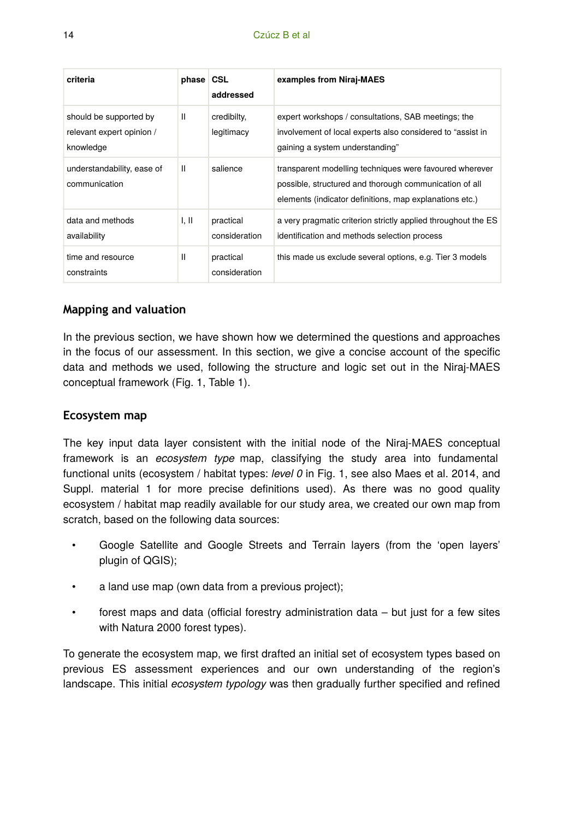| criteria                                                         | phase CSL | addressed                  | examples from Niraj-MAES                                                                                                                                                     |
|------------------------------------------------------------------|-----------|----------------------------|------------------------------------------------------------------------------------------------------------------------------------------------------------------------------|
| should be supported by<br>relevant expert opinion /<br>knowledge | Ш         | credibilty,<br>legitimacy  | expert workshops / consultations, SAB meetings; the<br>involvement of local experts also considered to "assist in<br>gaining a system understanding"                         |
| understandability, ease of<br>communication                      | Ш         | salience                   | transparent modelling techniques were favoured wherever<br>possible, structured and thorough communication of all<br>elements (indicator definitions, map explanations etc.) |
| data and methods<br>availability                                 | I, II     | practical<br>consideration | a very pragmatic criterion strictly applied throughout the ES<br>identification and methods selection process                                                                |
| time and resource<br>constraints                                 | Ш         | practical<br>consideration | this made us exclude several options, e.g. Tier 3 models                                                                                                                     |

## **Mapping and valuation**

In the previous section, we have shown how we determined the questions and approaches in the focus of our assessment. In this section, we give a concise account of the specific data and methods we used, following the structure and logic set out in the Niraj-MAES conceptual framework (Fig. 1, Table 1).

#### **Ecosystem map**

The key input data layer consistent with the initial node of the Niraj-MAES conceptual framework is an *ecosystem type* map, classifying the study area into fundamental functional units (ecosystem / habitat types: *level 0* in Fig. 1, see also Maes et al. 2014, and Suppl. material 1 for more precise definitions used). As there was no good quality ecosystem / habitat map readily available for our study area, we created our own map from scratch, based on the following data sources:

- Google Satellite and Google Streets and Terrain layers (from the 'open layers' plugin of QGIS);
- a land use map (own data from a previous project);
- forest maps and data (official forestry administration data but just for a few sites with Natura 2000 forest types).

To generate the ecosystem map, we first drafted an initial set of ecosystem types based on previous ES assessment experiences and our own understanding of the region's landscape. This initial *ecosystem typology* was then gradually further specified and refined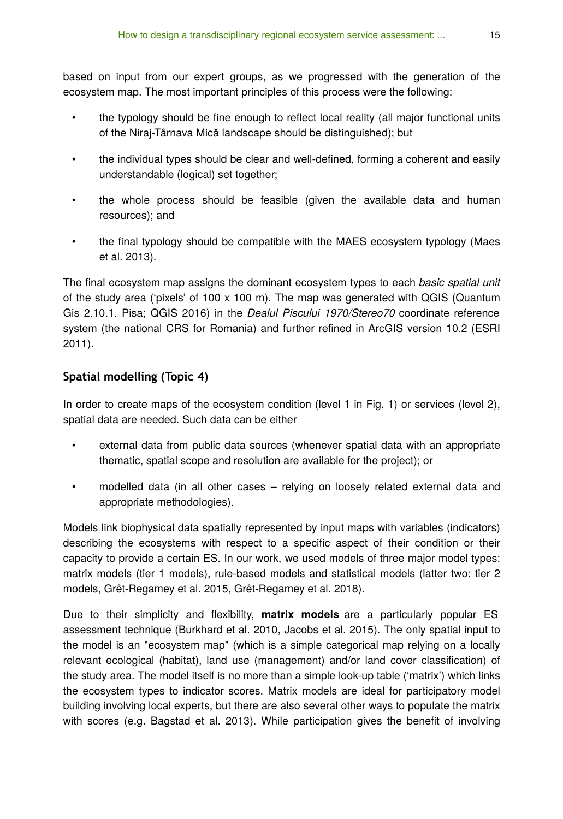based on input from our expert groups, as we progressed with the generation of the ecosystem map. The most important principles of this process were the following:

- the typology should be fine enough to reflect local reality (all major functional units of the Niraj-Târnava Mică landscape should be distinguished); but
- the individual types should be clear and well-defined, forming a coherent and easily understandable (logical) set together;
- the whole process should be feasible (given the available data and human resources); and
- the final typology should be compatible with the MAES ecosystem typology (Maes et al. 2013).

The final ecosystem map assigns the dominant ecosystem types to each *basic spatial unit* of the study area ('pixels' of  $100 \times 100$  m). The map was generated with QGIS (Quantum Gis 2.10.1. Pisa; QGIS 2016) in the *Dealul Piscului 1970/Stereo70* coordinate reference system (the national CRS for Romania) and further refined in ArcGIS version 10.2 (ESRI 2011).

## **Spatial modelling (Topic 4)**

In order to create maps of the ecosystem condition (level 1 in Fig. 1) or services (level 2), spatial data are needed. Such data can be either

- external data from public data sources (whenever spatial data with an appropriate thematic, spatial scope and resolution are available for the project); or
- modelled data (in all other cases relying on loosely related external data and appropriate methodologies).

Models link biophysical data spatially represented by input maps with variables (indicators) describing the ecosystems with respect to a specific aspect of their condition or their capacity to provide a certain ES. In our work, we used models of three major model types: matrix models (tier 1 models), rule-based models and statistical models (latter two: tier 2 models, Grêt-Regamey et al. 2015, Grêt-Regamey et al. 2018).

Due to their simplicity and flexibility, **matrix models** are a particularly popular ES assessment technique (Burkhard et al. 2010, Jacobs et al. 2015). The only spatial input to the model is an "ecosystem map" (which is a simple categorical map relying on a locally relevant ecological (habitat), land use (management) and/or land cover classification) of the study area. The model itself is no more than a simple look-up table ('matrix') which links the ecosystem types to indicator scores. Matrix models are ideal for participatory model building involving local experts, but there are also several other ways to populate the matrix with scores (e.g. Bagstad et al. 2013). While participation gives the benefit of involving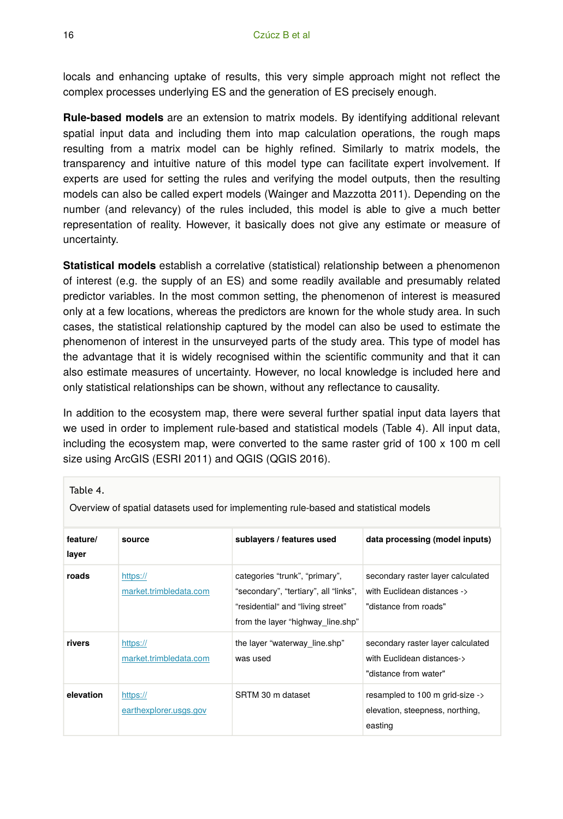locals and enhancing uptake of results, this very simple approach might not reflect the complex processes underlying ES and the generation of ES precisely enough.

**Rule-based models** are an extension to matrix models. By identifying additional relevant spatial input data and including them into map calculation operations, the rough maps resulting from a matrix model can be highly refined. Similarly to matrix models, the transparency and intuitive nature of this model type can facilitate expert involvement. If experts are used for setting the rules and verifying the model outputs, then the resulting models can also be called expert models (Wainger and Mazzotta 2011). Depending on the number (and relevancy) of the rules included, this model is able to give a much better representation of reality. However, it basically does not give any estimate or measure of uncertainty.

**Statistical models** establish a correlative (statistical) relationship between a phenomenon of interest (e.g. the supply of an ES) and some readily available and presumably related predictor variables. In the most common setting, the phenomenon of interest is measured only at a few locations, whereas the predictors are known for the whole study area. In such cases, the statistical relationship captured by the model can also be used to estimate the phenomenon of interest in the unsurveyed parts of the study area. This type of model has the advantage that it is widely recognised within the scientific community and that it can also estimate measures of uncertainty. However, no local knowledge is included here and only statistical relationships can be shown, without any reflectance to causality.

In addition to the ecosystem map, there were several further spatial input data layers that we used in order to implement rule-based and statistical models (Table 4). All input data, including the ecosystem map, were converted to the same raster grid of  $100 \times 100$  m cell size using ArcGIS (ESRI 2011) and QGIS (QGIS 2016).

| IUDIL T.          | Overview of spatial datasets used for implementing rule-based and statistical models |                                                                                                                                                   |                                                                                           |  |  |  |  |
|-------------------|--------------------------------------------------------------------------------------|---------------------------------------------------------------------------------------------------------------------------------------------------|-------------------------------------------------------------------------------------------|--|--|--|--|
| feature/<br>layer | source                                                                               | sublayers / features used                                                                                                                         | data processing (model inputs)                                                            |  |  |  |  |
| roads             | https://<br>market.trimbledata.com                                                   | categories "trunk", "primary",<br>"secondary", "tertiary", all "links",<br>"residential" and "living street"<br>from the layer "highway line.shp" | secondary raster layer calculated<br>with Euclidean distances -><br>"distance from roads" |  |  |  |  |
| rivers            | https://<br>market.trimbledata.com                                                   | the layer "waterway line.shp"<br>was used                                                                                                         | secondary raster layer calculated<br>with Euclidean distances-><br>"distance from water"  |  |  |  |  |
| elevation         | https://<br>earthexplorer.usgs.gov                                                   | SRTM 30 m dataset                                                                                                                                 | resampled to 100 m grid-size -><br>elevation, steepness, northing,<br>easting             |  |  |  |  |

 $Table 4$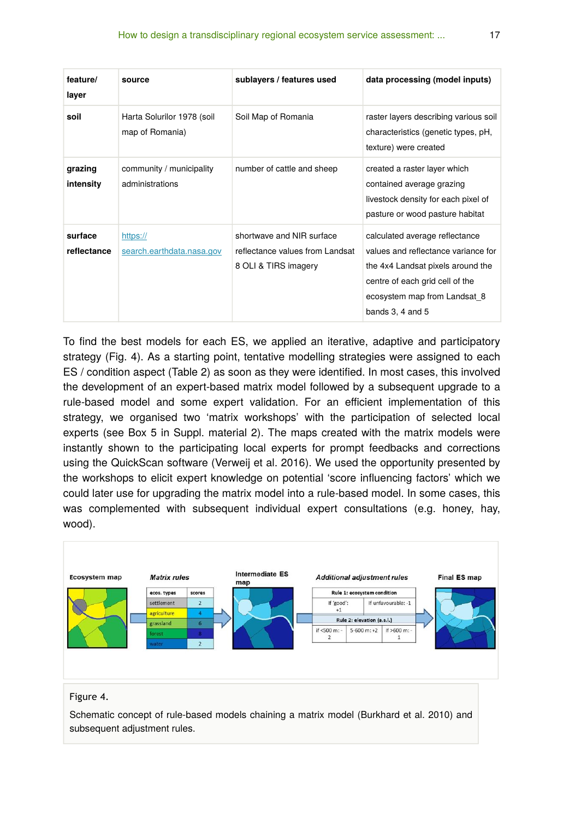| feature/<br>layer      | source                                        | sublayers / features used                                                            | data processing (model inputs)                                                                                                                                                                        |
|------------------------|-----------------------------------------------|--------------------------------------------------------------------------------------|-------------------------------------------------------------------------------------------------------------------------------------------------------------------------------------------------------|
| soil                   | Harta Solurilor 1978 (soil<br>map of Romania) | Soil Map of Romania                                                                  | raster layers describing various soil<br>characteristics (genetic types, pH,<br>texture) were created                                                                                                 |
| grazing<br>intensity   | community / municipality<br>administrations   | number of cattle and sheep                                                           | created a raster layer which<br>contained average grazing<br>livestock density for each pixel of<br>pasture or wood pasture habitat                                                                   |
| surface<br>reflectance | https://<br>search.earthdata.nasa.gov         | shortwave and NIR surface<br>reflectance values from Landsat<br>8 OLI & TIRS imagery | calculated average reflectance<br>values and reflectance variance for<br>the 4x4 Landsat pixels around the<br>centre of each grid cell of the<br>ecosystem map from Landsat 8<br>bands $3, 4$ and $5$ |

To find the best models for each ES, we applied an iterative, adaptive and participatory strategy (Fig. 4). As a starting point, tentative modelling strategies were assigned to each ES / condition aspect (Table 2) as soon as they were identified. In most cases, this involved the development of an expert-based matrix model followed by a subsequent upgrade to a rule-based model and some expert validation. For an efficient implementation of this strategy, we organised two 'matrix workshops' with the participation of selected local experts (see Box 5 in Suppl. material 2). The maps created with the matrix models were instantly shown to the participating local experts for prompt feedbacks and corrections using the QuickScan software (Verweij et al. 2016). We used the opportunity presented by the workshops to elicit expert knowledge on potential 'score influencing factors' which we could later use for upgrading the matrix model into a rule-based model. In some cases, this was complemented with subsequent individual expert consultations (e.g. honey, hay, wood).



#### Figure 4.

Schematic concept of rule-based models chaining a matrix model (Burkhard et al. 2010) and subsequent adjustment rules.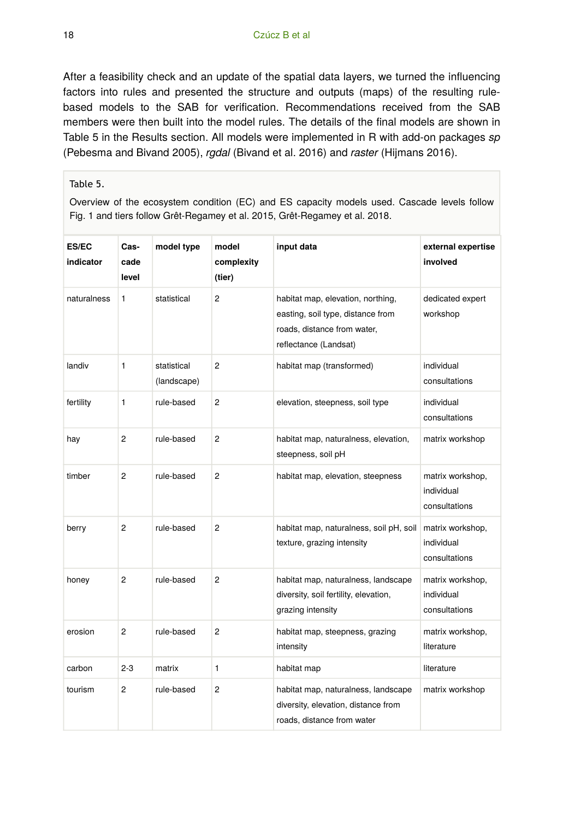After a feasibility check and an update of the spatial data layers, we turned the influencing factors into rules and presented the structure and outputs (maps) of the resulting rulebased models to the SAB for verification. Recommendations received from the SAB members were then built into the model rules. The details of the final models are shown in Table 5 in the Results section. All models were implemented in R with add-on packages *sp* (Pebesma and Bivand 2005), *rgdal* (Bivand et al. 2016) and *raster* (Hijmans 2016).

#### Table 5.

Overview of the ecosystem condition (EC) and ES capacity models used. Cascade levels follow Fig. 1 and tiers follow Grêt-Regamey et al. 2015, Grêt-Regamey et al. 2018.

| ES/EC<br>indicator | Cas-<br>cade<br>level | model type                 | model<br>complexity<br>(tier) | input data                                                                                                                     | external expertise<br>involved                  |
|--------------------|-----------------------|----------------------------|-------------------------------|--------------------------------------------------------------------------------------------------------------------------------|-------------------------------------------------|
| naturalness        | $\mathbf{1}$          | statistical                | 2                             | habitat map, elevation, northing,<br>easting, soil type, distance from<br>roads, distance from water,<br>reflectance (Landsat) | dedicated expert<br>workshop                    |
| landiv             | 1                     | statistical<br>(landscape) | 2                             | habitat map (transformed)                                                                                                      | individual<br>consultations                     |
| fertility          | 1                     | rule-based                 | 2                             | elevation, steepness, soil type                                                                                                | individual<br>consultations                     |
| hay                | $\overline{2}$        | rule-based                 | $\overline{c}$                | habitat map, naturalness, elevation,<br>steepness, soil pH                                                                     | matrix workshop                                 |
| timber             | $\overline{2}$        | rule-based                 | $\overline{c}$                | habitat map, elevation, steepness                                                                                              | matrix workshop,<br>individual<br>consultations |
| berry              | $\overline{2}$        | rule-based                 | 2                             | habitat map, naturalness, soil pH, soil<br>texture, grazing intensity                                                          | matrix workshop,<br>individual<br>consultations |
| honey              | 2                     | rule-based                 | 2                             | habitat map, naturalness, landscape<br>diversity, soil fertility, elevation,<br>grazing intensity                              | matrix workshop,<br>individual<br>consultations |
| erosion            | $\overline{c}$        | rule-based                 | 2                             | habitat map, steepness, grazing<br>intensity                                                                                   | matrix workshop,<br>literature                  |
| carbon             | $2 - 3$               | matrix                     | 1                             | habitat map                                                                                                                    | literature                                      |
| tourism            | $\overline{c}$        | rule-based                 | 2                             | habitat map, naturalness, landscape<br>diversity, elevation, distance from<br>roads, distance from water                       | matrix workshop                                 |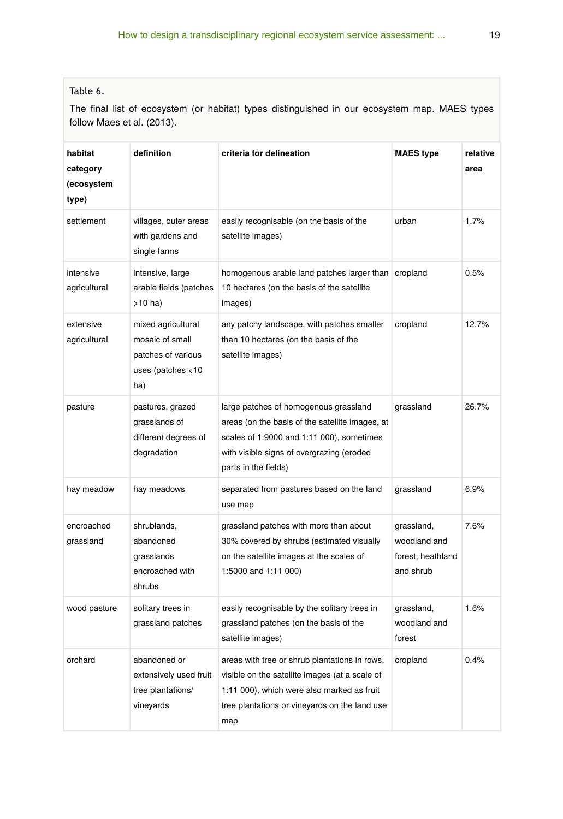## Table 6.

The final list of ecosystem (or habitat) types distinguished in our ecosystem map. MAES types follow Maes et al. (2013).

| habitat<br>category<br>(ecosystem<br>type) | definition                                                                                       | criteria for delineation                                                                                                                                                                                   | <b>MAES type</b>                                             | relative<br>area |
|--------------------------------------------|--------------------------------------------------------------------------------------------------|------------------------------------------------------------------------------------------------------------------------------------------------------------------------------------------------------------|--------------------------------------------------------------|------------------|
| settlement                                 | villages, outer areas<br>with gardens and<br>single farms                                        | easily recognisable (on the basis of the<br>satellite images)                                                                                                                                              | urban                                                        | 1.7%             |
| intensive<br>agricultural                  | intensive, large<br>arable fields (patches<br>$>10$ ha)                                          | homogenous arable land patches larger than<br>10 hectares (on the basis of the satellite<br>images)                                                                                                        | cropland                                                     | 0.5%             |
| extensive<br>agricultural                  | mixed agricultural<br>mosaic of small<br>patches of various<br>uses (patches $\langle 10$<br>ha) | any patchy landscape, with patches smaller<br>than 10 hectares (on the basis of the<br>satellite images)                                                                                                   | cropland                                                     | 12.7%            |
| pasture                                    | pastures, grazed<br>grasslands of<br>different degrees of<br>degradation                         | large patches of homogenous grassland<br>areas (on the basis of the satellite images, at<br>scales of 1:9000 and 1:11 000), sometimes<br>with visible signs of overgrazing (eroded<br>parts in the fields) | grassland                                                    | 26.7%            |
| hay meadow                                 | hay meadows                                                                                      | separated from pastures based on the land<br>use map                                                                                                                                                       | grassland                                                    | 6.9%             |
| encroached<br>grassland                    | shrublands,<br>abandoned<br>grasslands<br>encroached with<br>shrubs                              | grassland patches with more than about<br>30% covered by shrubs (estimated visually<br>on the satellite images at the scales of<br>1:5000 and 1:11 000)                                                    | grassland,<br>woodland and<br>forest, heathland<br>and shrub | 7.6%             |
| wood pasture                               | solitary trees in<br>grassland patches                                                           | easily recognisable by the solitary trees in<br>grassland patches (on the basis of the<br>satellite images)                                                                                                | grassland,<br>woodland and<br>forest                         | 1.6%             |
| orchard                                    | abandoned or<br>extensively used fruit<br>tree plantations/<br>vineyards                         | areas with tree or shrub plantations in rows,<br>visible on the satellite images (at a scale of<br>1:11 000), which were also marked as fruit<br>tree plantations or vineyards on the land use<br>map      | cropland                                                     | 0.4%             |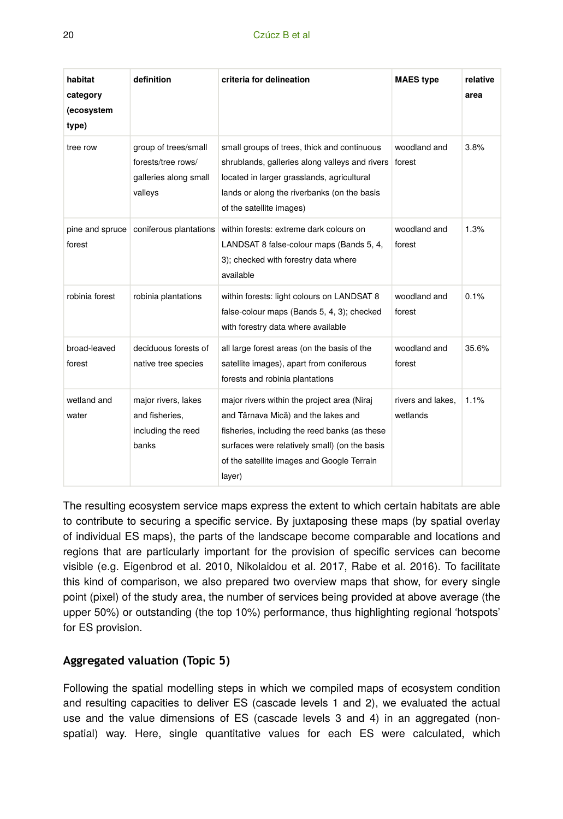| habitat<br>category<br>(ecosystem<br>type) | definition                                                                     | criteria for delineation                                                                                                                                                                                                                     | <b>MAES type</b>              | relative<br>area |
|--------------------------------------------|--------------------------------------------------------------------------------|----------------------------------------------------------------------------------------------------------------------------------------------------------------------------------------------------------------------------------------------|-------------------------------|------------------|
| tree row                                   | group of trees/small<br>forests/tree rows/<br>galleries along small<br>valleys | small groups of trees, thick and continuous<br>shrublands, galleries along valleys and rivers<br>located in larger grasslands, agricultural<br>lands or along the riverbanks (on the basis<br>of the satellite images)                       | woodland and<br>forest        | 3.8%             |
| forest                                     | pine and spruce coniferous plantations                                         | within forests: extreme dark colours on<br>LANDSAT 8 false-colour maps (Bands 5, 4,<br>3); checked with forestry data where<br>available                                                                                                     | woodland and<br>forest        | 1.3%             |
| robinia forest                             | robinia plantations                                                            | within forests: light colours on LANDSAT 8<br>false-colour maps (Bands 5, 4, 3); checked<br>with forestry data where available                                                                                                               | woodland and<br>forest        | 0.1%             |
| broad-leaved<br>forest                     | deciduous forests of<br>native tree species                                    | all large forest areas (on the basis of the<br>satellite images), apart from coniferous<br>forests and robinia plantations                                                                                                                   | woodland and<br>forest        | 35.6%            |
| wetland and<br>water                       | major rivers, lakes<br>and fisheries.<br>including the reed<br>banks           | major rivers within the project area (Niraj<br>and Târnava Mică) and the lakes and<br>fisheries, including the reed banks (as these<br>surfaces were relatively small) (on the basis<br>of the satellite images and Google Terrain<br>layer) | rivers and lakes,<br>wetlands | 1.1%             |

The resulting ecosystem service maps express the extent to which certain habitats are able to contribute to securing a specific service. By juxtaposing these maps (by spatial overlay of individual ES maps), the parts of the landscape become comparable and locations and regions that are particularly important for the provision of specific services can become visible (e.g. Eigenbrod et al. 2010, Nikolaidou et al. 2017, Rabe et al. 2016). To facilitate this kind of comparison, we also prepared two overview maps that show, for every single point (pixel) of the study area, the number of services being provided at above average (the upper 50%) or outstanding (the top 10%) performance, thus highlighting regional 'hotspots' for ES provision.

## **Aggregated valuation (Topic 5)**

Following the spatial modelling steps in which we compiled maps of ecosystem condition and resulting capacities to deliver ES (cascade levels 1 and 2), we evaluated the actual use and the value dimensions of ES (cascade levels 3 and 4) in an aggregated (nonspatial) way. Here, single quantitative values for each ES were calculated, which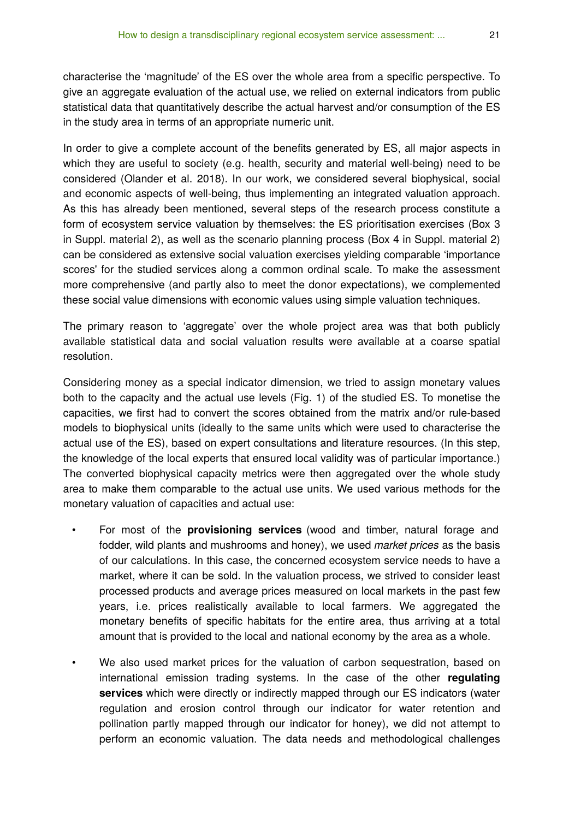In order to give a complete account of the benefits generated by ES, all major aspects in which they are useful to society (e.g. health, security and material well-being) need to be considered (Olander et al. 2018). In our work, we considered several biophysical, social and economic aspects of well-being, thus implementing an integrated valuation approach. As this has already been mentioned, several steps of the research process constitute a form of ecosystem service valuation by themselves: the ES prioritisation exercises (Box 3 in Suppl. material 2), as well as the scenario planning process (Box 4 in Suppl. material 2) can be considered as extensive social valuation exercises yielding comparable 'importance scores' for the studied services along a common ordinal scale. To make the assessment more comprehensive (and partly also to meet the donor expectations), we complemented these social value dimensions with economic values using simple valuation techniques.

The primary reason to 'aggregate' over the whole project area was that both publicly available statistical data and social valuation results were available at a coarse spatial resolution.

Considering money as a special indicator dimension, we tried to assign monetary values both to the capacity and the actual use levels (Fig. 1) of the studied ES. To monetise the capacities, we first had to convert the scores obtained from the matrix and/or rule-based models to biophysical units (ideally to the same units which were used to characterise the actual use of the ES), based on expert consultations and literature resources. (In this step, the knowledge of the local experts that ensured local validity was of particular importance.) The converted biophysical capacity metrics were then aggregated over the whole study area to make them comparable to the actual use units. We used various methods for the monetary valuation of capacities and actual use:

- For most of the **provisioning services** (wood and timber, natural forage and fodder, wild plants and mushrooms and honey), we used *market prices* as the basis of our calculations. In this case, the concerned ecosystem service needs to have a market, where it can be sold. In the valuation process, we strived to consider least processed products and average prices measured on local markets in the past few years, i.e. prices realistically available to local farmers. We aggregated the monetary benefits of specific habitats for the entire area, thus arriving at a total amount that is provided to the local and national economy by the area as a whole.
- We also used market prices for the valuation of carbon sequestration, based on international emission trading systems. In the case of the other **regulating services** which were directly or indirectly mapped through our ES indicators (water regulation and erosion control through our indicator for water retention and pollination partly mapped through our indicator for honey), we did not attempt to perform an economic valuation. The data needs and methodological challenges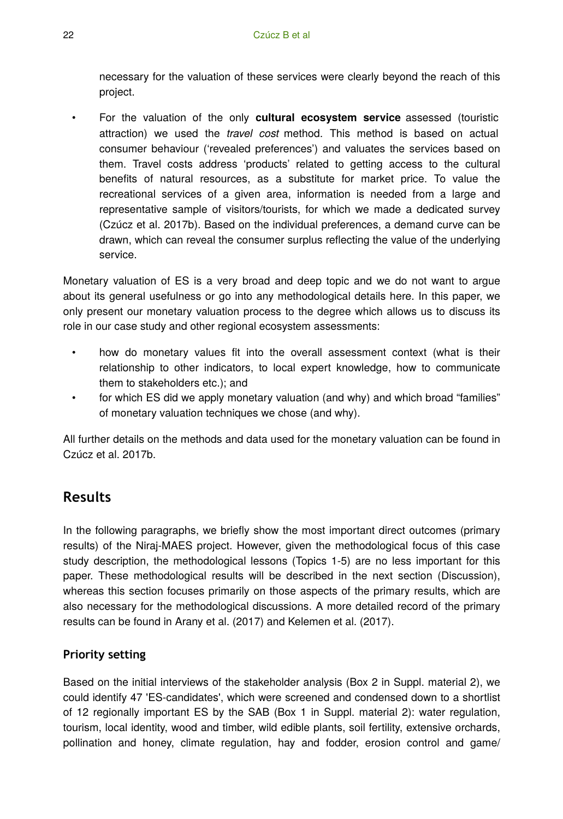necessary for the valuation of these services were clearly beyond the reach of this project.

• For the valuation of the only **cultural ecosystem service** assessed (touristic attraction) we used the *travel cost* method. This method is based on actual consumer behaviour ('revealed preferences') and valuates the services based on them. Travel costs address 'products' related to getting access to the cultural benefits of natural resources, as a substitute for market price. To value the recreational services of a given area, information is needed from a large and representative sample of visitors/tourists, for which we made a dedicated survey (Czúcz et al. 2017b). Based on the individual preferences, a demand curve can be drawn, which can reveal the consumer surplus reflecting the value of the underlying service.

Monetary valuation of ES is a very broad and deep topic and we do not want to argue about its general usefulness or go into any methodological details here. In this paper, we only present our monetary valuation process to the degree which allows us to discuss its role in our case study and other regional ecosystem assessments:

- how do monetary values fit into the overall assessment context (what is their relationship to other indicators, to local expert knowledge, how to communicate them to stakeholders etc.); and
- for which ES did we apply monetary valuation (and why) and which broad "families" of monetary valuation techniques we chose (and why).

All further details on the methods and data used for the monetary valuation can be found in Czúcz et al. 2017b.

# **Results**

In the following paragraphs, we briefly show the most important direct outcomes (primary results) of the Niraj-MAES project. However, given the methodological focus of this case study description, the methodological lessons (Topics 1-5) are no less important for this paper. These methodological results will be described in the next section (Discussion), whereas this section focuses primarily on those aspects of the primary results, which are also necessary for the methodological discussions. A more detailed record of the primary results can be found in Arany et al. (2017) and Kelemen et al. (2017).

# **Priority setting**

Based on the initial interviews of the stakeholder analysis (Box 2 in Suppl. material 2), we could identify 47 'ES-candidates', which were screened and condensed down to a shortlist of 12 regionally important ES by the SAB (Box 1 in Suppl. material 2): water regulation, tourism, local identity, wood and timber, wild edible plants, soil fertility, extensive orchards, pollination and honey, climate regulation, hay and fodder, erosion control and game/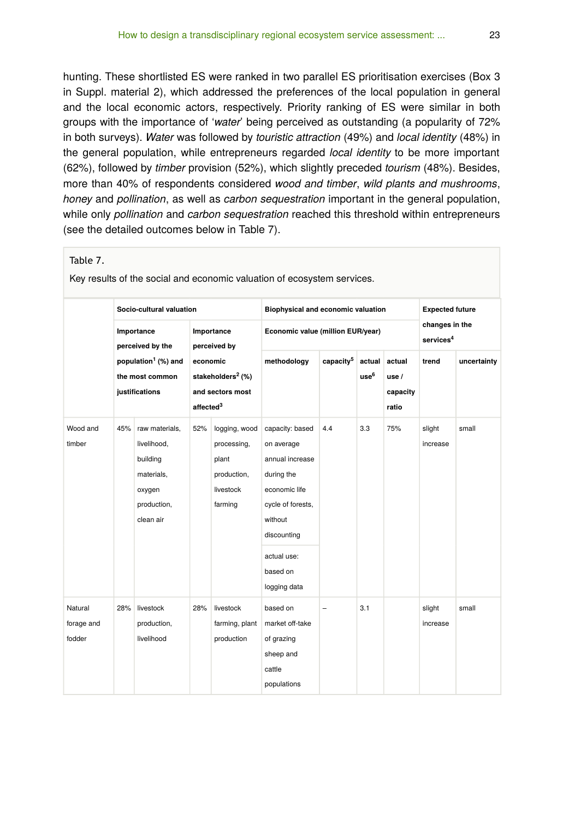hunting. These shortlisted ES were ranked in two parallel ES prioritisation exercises (Box 3 in Suppl. material 2), which addressed the preferences of the local population in general and the local economic actors, respectively. Priority ranking of ES were similar in both groups with the importance of '*water*' being perceived as outstanding (a popularity of 72% in both surveys). *Water* was followed by *touristic attraction* (49%) and *local identity* (48%) in the general population, while entrepreneurs regarded *local identity* to be more important (62%), followed by *timber* provision (52%), which slightly preceded *tourism* (48%). Besides, more than 40% of respondents considered *wood and timber*, *wild plants and mushrooms*, *honey* and *pollination*, as well as *carbon sequestration* important in the general population, while only *pollination* and *carbon sequestration* reached this threshold within entrepreneurs (see the detailed outcomes below in Table 7).

#### Table 7.

Key results of the social and economic valuation of ecosystem services.

|                                 | Socio-cultural valuation                                             |                                                                                               |                                                                                        | Biophysical and economic valuation                                           |                                                                                                                                                                           |                                   | <b>Expected future</b>     |                                     |                                         |             |
|---------------------------------|----------------------------------------------------------------------|-----------------------------------------------------------------------------------------------|----------------------------------------------------------------------------------------|------------------------------------------------------------------------------|---------------------------------------------------------------------------------------------------------------------------------------------------------------------------|-----------------------------------|----------------------------|-------------------------------------|-----------------------------------------|-------------|
|                                 |                                                                      | Importance<br>perceived by the                                                                |                                                                                        | Importance<br>perceived by                                                   |                                                                                                                                                                           | Economic value (million EUR/year) |                            |                                     | changes in the<br>services <sup>4</sup> |             |
|                                 | population <sup>1</sup> (%) and<br>the most common<br>justifications |                                                                                               | economic<br>stakeholders <sup>2</sup> (%)<br>and sectors most<br>affected <sup>3</sup> |                                                                              | methodology                                                                                                                                                               | capacity <sup>5</sup>             | actual<br>use <sup>6</sup> | actual<br>use/<br>capacity<br>ratio | trend                                   | uncertainty |
| Wood and<br>timber              | 45%                                                                  | raw materials,<br>livelihood,<br>building<br>materials,<br>oxygen<br>production,<br>clean air | 52%                                                                                    | logging, wood<br>processing,<br>plant<br>production,<br>livestock<br>farming | capacity: based<br>on average<br>annual increase<br>during the<br>economic life<br>cycle of forests,<br>without<br>discounting<br>actual use:<br>based on<br>logging data | 4.4                               | 3.3                        | 75%                                 | slight<br>increase                      | small       |
| Natural<br>forage and<br>fodder | 28%                                                                  | livestock<br>production,<br>livelihood                                                        | 28%                                                                                    | livestock<br>farming, plant<br>production                                    | based on<br>market off-take<br>of grazing<br>sheep and<br>cattle<br>populations                                                                                           | $\equiv$                          | 3.1                        |                                     | slight<br>increase                      | small       |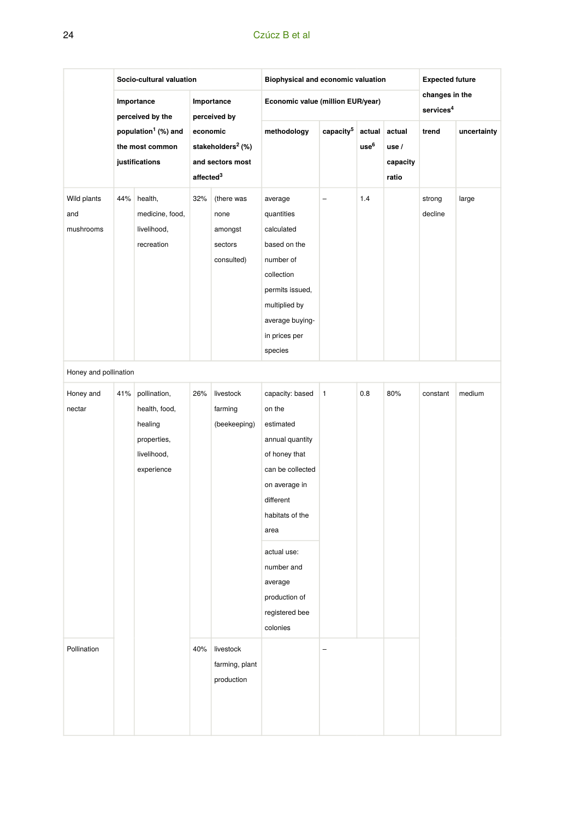#### 24 Czúcz B et al

|                                 | Socio-cultural valuation                                                                               |                                                                                      |                                                                                        |                                                        | Biophysical and economic valuation                                                                                                                                                                                                             |                       |                            |                                         | <b>Expected future</b> |             |
|---------------------------------|--------------------------------------------------------------------------------------------------------|--------------------------------------------------------------------------------------|----------------------------------------------------------------------------------------|--------------------------------------------------------|------------------------------------------------------------------------------------------------------------------------------------------------------------------------------------------------------------------------------------------------|-----------------------|----------------------------|-----------------------------------------|------------------------|-------------|
|                                 | Importance<br>perceived by the<br>population <sup>1</sup> (%) and<br>the most common<br>justifications |                                                                                      |                                                                                        | Importance<br>perceived by                             | Economic value (million EUR/year)                                                                                                                                                                                                              |                       |                            | changes in the<br>services <sup>4</sup> |                        |             |
|                                 |                                                                                                        |                                                                                      | economic<br>stakeholders <sup>2</sup> (%)<br>and sectors most<br>affected <sup>3</sup> |                                                        | methodology                                                                                                                                                                                                                                    | capacity <sup>5</sup> | actual<br>use <sup>6</sup> | actual<br>use /<br>capacity<br>ratio    | trend                  | uncertainty |
| Wild plants<br>and<br>mushrooms | 44%                                                                                                    | health,<br>medicine, food,<br>livelihood,<br>recreation                              | 32%                                                                                    | (there was<br>none<br>amongst<br>sectors<br>consulted) | average<br>quantities<br>calculated<br>based on the<br>number of<br>collection<br>permits issued,<br>multiplied by<br>average buying-<br>in prices per<br>species                                                                              | -                     | 1.4                        |                                         | strong<br>decline      | large       |
| Honey and pollination           |                                                                                                        |                                                                                      |                                                                                        |                                                        |                                                                                                                                                                                                                                                |                       |                            |                                         |                        |             |
| Honey and<br>nectar             | 41%                                                                                                    | pollination,<br>health, food,<br>healing<br>properties,<br>livelihood,<br>experience | 26%                                                                                    | livestock<br>farming<br>(beekeeping)                   | capacity: based<br>on the<br>estimated<br>annual quantity<br>of honey that<br>can be collected<br>on average in<br>different<br>habitats of the<br>area<br>actual use:<br>number and<br>average<br>production of<br>registered bee<br>colonies | 1                     | 0.8                        | 80%                                     | constant               | medium      |
| Pollination                     |                                                                                                        |                                                                                      | 40%                                                                                    | livestock<br>farming, plant<br>production              |                                                                                                                                                                                                                                                | -                     |                            |                                         |                        |             |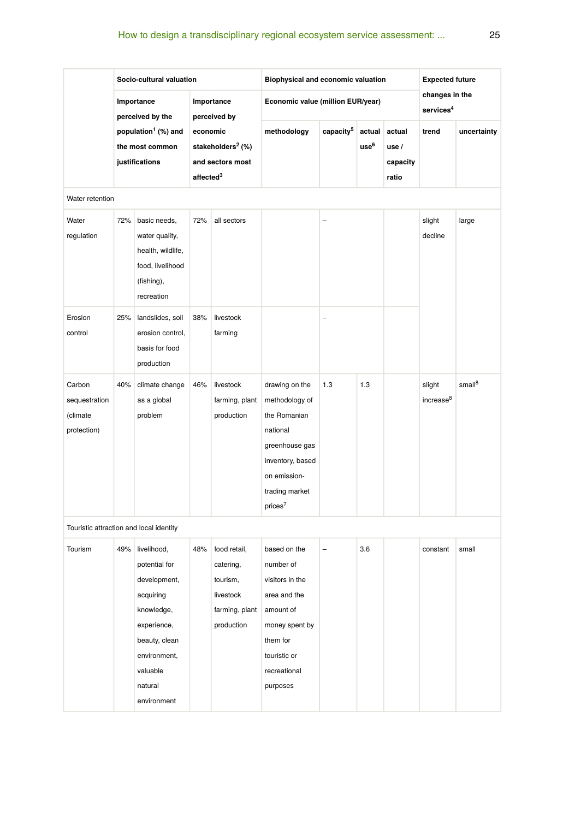# How to design a transdisciplinary regional ecosystem service assessment: ... 25

|                                                    | Socio-cultural valuation                                                                               |                                                                                                                                                               |                                                                                                             |                                                                                    | Biophysical and economic valuation                                                                                                                          | <b>Expected future</b> |                            |                                      |                                         |                    |
|----------------------------------------------------|--------------------------------------------------------------------------------------------------------|---------------------------------------------------------------------------------------------------------------------------------------------------------------|-------------------------------------------------------------------------------------------------------------|------------------------------------------------------------------------------------|-------------------------------------------------------------------------------------------------------------------------------------------------------------|------------------------|----------------------------|--------------------------------------|-----------------------------------------|--------------------|
|                                                    | Importance<br>perceived by the<br>population <sup>1</sup> (%) and<br>the most common<br>justifications |                                                                                                                                                               | Importance<br>perceived by<br>economic<br>stakeholders <sup>2</sup> (%)<br>and sectors most<br>affected $3$ |                                                                                    | Economic value (million EUR/year)                                                                                                                           |                        |                            |                                      | changes in the<br>services <sup>4</sup> |                    |
|                                                    |                                                                                                        |                                                                                                                                                               |                                                                                                             |                                                                                    | methodology                                                                                                                                                 | capacity <sup>5</sup>  | actual<br>use <sup>6</sup> | actual<br>use /<br>capacity<br>ratio | trend                                   | uncertainty        |
| Water retention                                    |                                                                                                        |                                                                                                                                                               |                                                                                                             |                                                                                    |                                                                                                                                                             |                        |                            |                                      |                                         |                    |
| Water<br>regulation                                | 72%                                                                                                    | basic needs,<br>water quality,<br>health, wildlife,<br>food, livelihood<br>(fishing),<br>recreation                                                           | 72%                                                                                                         | all sectors                                                                        |                                                                                                                                                             |                        |                            |                                      | slight<br>decline                       | large              |
| Erosion<br>control                                 | 25%                                                                                                    | landslides, soil<br>erosion control.<br>basis for food<br>production                                                                                          | 38%                                                                                                         | livestock<br>farming                                                               |                                                                                                                                                             |                        |                            |                                      |                                         |                    |
| Carbon<br>sequestration<br>(climate<br>protection) | 40%                                                                                                    | climate change<br>as a global<br>problem                                                                                                                      | 46%                                                                                                         | livestock<br>farming, plant<br>production                                          | drawing on the<br>methodology of<br>the Romanian<br>national<br>greenhouse gas<br>inventory, based<br>on emission-<br>trading market<br>prices <sup>7</sup> | 1.3                    | 1.3                        |                                      | slight<br>increase <sup>8</sup>         | small <sup>8</sup> |
| Touristic attraction and local identity            |                                                                                                        |                                                                                                                                                               |                                                                                                             |                                                                                    |                                                                                                                                                             |                        |                            |                                      |                                         |                    |
| Tourism                                            | 49%                                                                                                    | livelihood,<br>potential for<br>development,<br>acquiring<br>knowledge,<br>experience,<br>beauty, clean<br>environment,<br>valuable<br>natural<br>environment | 48%                                                                                                         | food retail,<br>catering,<br>tourism,<br>livestock<br>farming, plant<br>production | based on the<br>number of<br>visitors in the<br>area and the<br>amount of<br>money spent by<br>them for<br>touristic or<br>recreational<br>purposes         |                        | 3.6                        |                                      | constant                                | small              |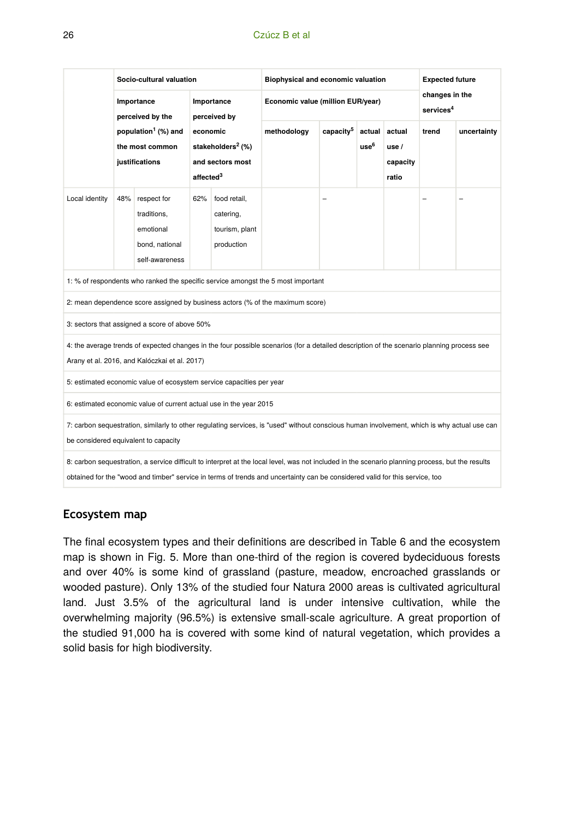#### 26 Czúcz B et al

|                                                                                                                                                                                                                                                                                 | Socio-cultural valuation       |                                                                                                                                                                |     |                                                           | Biophysical and economic valuation | <b>Expected future</b>                              |  |                                     |                                         |             |
|---------------------------------------------------------------------------------------------------------------------------------------------------------------------------------------------------------------------------------------------------------------------------------|--------------------------------|----------------------------------------------------------------------------------------------------------------------------------------------------------------|-----|-----------------------------------------------------------|------------------------------------|-----------------------------------------------------|--|-------------------------------------|-----------------------------------------|-------------|
|                                                                                                                                                                                                                                                                                 | Importance<br>perceived by the |                                                                                                                                                                |     | Importance<br>perceived by                                | Economic value (million EUR/year)  |                                                     |  |                                     | changes in the<br>services <sup>4</sup> |             |
|                                                                                                                                                                                                                                                                                 |                                | population <sup>1</sup> (%) and<br>economic<br>stakeholders <sup>2</sup> (%)<br>the most common<br>justifications<br>and sectors most<br>affected <sup>3</sup> |     |                                                           | methodology                        | capacity <sup>5</sup><br>actual<br>use <sup>6</sup> |  | actual<br>use/<br>capacity<br>ratio | trend                                   | uncertainty |
| Local identity                                                                                                                                                                                                                                                                  | 48%                            | respect for<br>traditions,<br>emotional<br>bond, national<br>self-awareness                                                                                    | 62% | food retail,<br>catering,<br>tourism, plant<br>production |                                    | -                                                   |  |                                     |                                         |             |
| 1: % of respondents who ranked the specific service amongst the 5 most important                                                                                                                                                                                                |                                |                                                                                                                                                                |     |                                                           |                                    |                                                     |  |                                     |                                         |             |
| 2: mean dependence score assigned by business actors (% of the maximum score)                                                                                                                                                                                                   |                                |                                                                                                                                                                |     |                                                           |                                    |                                                     |  |                                     |                                         |             |
| 3: sectors that assigned a score of above 50%                                                                                                                                                                                                                                   |                                |                                                                                                                                                                |     |                                                           |                                    |                                                     |  |                                     |                                         |             |
| 4: the average trends of expected changes in the four possible scenarios (for a detailed description of the scenario planning process see<br>Arany et al. 2016, and Kalóczkai et al. 2017)                                                                                      |                                |                                                                                                                                                                |     |                                                           |                                    |                                                     |  |                                     |                                         |             |
| 5: estimated economic value of ecosystem service capacities per year                                                                                                                                                                                                            |                                |                                                                                                                                                                |     |                                                           |                                    |                                                     |  |                                     |                                         |             |
| 6: estimated economic value of current actual use in the year 2015                                                                                                                                                                                                              |                                |                                                                                                                                                                |     |                                                           |                                    |                                                     |  |                                     |                                         |             |
| 7: carbon sequestration, similarly to other regulating services, is "used" without conscious human involvement, which is why actual use can<br>be considered equivalent to capacity                                                                                             |                                |                                                                                                                                                                |     |                                                           |                                    |                                                     |  |                                     |                                         |             |
| 8: carbon sequestration, a service difficult to interpret at the local level, was not included in the scenario planning process, but the results<br>obtained for the "wood and timber" service in terms of trends and uncertainty can be considered valid for this service, too |                                |                                                                                                                                                                |     |                                                           |                                    |                                                     |  |                                     |                                         |             |

## **Ecosystem map**

The final ecosystem types and their definitions are described in Table 6 and the ecosystem map is shown in Fig. 5. More than one-third of the region is covered bydeciduous forests and over 40% is some kind of grassland (pasture, meadow, encroached grasslands or wooded pasture). Only 13% of the studied four Natura 2000 areas is cultivated agricultural land. Just 3.5% of the agricultural land is under intensive cultivation, while the overwhelming majority (96.5%) is extensive small-scale agriculture. A great proportion of the studied 91,000 ha is covered with some kind of natural vegetation, which provides a solid basis for high biodiversity.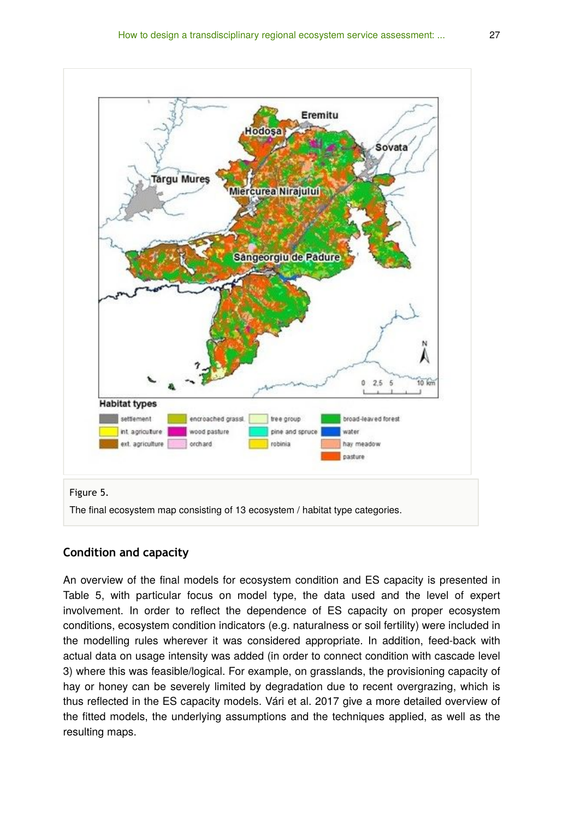

## **Condition and capacity**

An overview of the final models for ecosystem condition and ES capacity is presented in Table 5, with particular focus on model type, the data used and the level of expert involvement. In order to reflect the dependence of ES capacity on proper ecosystem conditions, ecosystem condition indicators (e.g. naturalness or soil fertility) were included in the modelling rules wherever it was considered appropriate. In addition, feed-back with actual data on usage intensity was added (in order to connect condition with cascade level 3) where this was feasible/logical. For example, on grasslands, the provisioning capacity of hay or honey can be severely limited by degradation due to recent overgrazing, which is thus reflected in the ES capacity models. Vári et al. 2017 give a more detailed overview of the fitted models, the underlying assumptions and the techniques applied, as well as the resulting maps.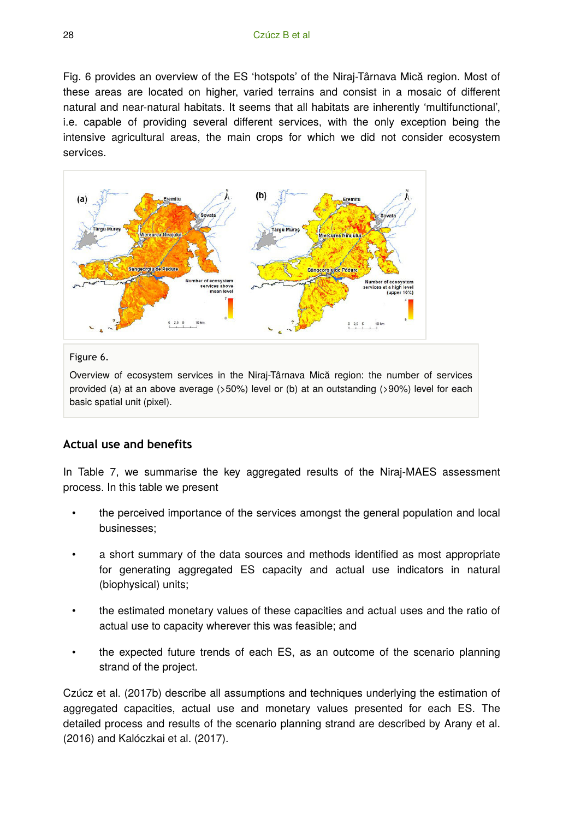Fig. 6 provides an overview of the ES 'hotspots' of the Niraj-Târnava Mică region. Most of these areas are located on higher, varied terrains and consist in a mosaic of different natural and near-natural habitats. It seems that all habitats are inherently 'multifunctional', i.e. capable of providing several different services, with the only exception being the intensive agricultural areas, the main crops for which we did not consider ecosystem services.



#### Figure 6.

Overview of ecosystem services in the Niraj-Târnava Mică region: the number of services provided (a) at an above average (>50%) level or (b) at an outstanding (>90%) level for each basic spatial unit (pixel).

## **Actual use and benefits**

In Table 7, we summarise the key aggregated results of the Niraj-MAES assessment process. In this table we present

- the perceived importance of the services amongst the general population and local businesses;
- a short summary of the data sources and methods identified as most appropriate for generating aggregated ES capacity and actual use indicators in natural (biophysical) units;
- the estimated monetary values of these capacities and actual uses and the ratio of actual use to capacity wherever this was feasible; and
- the expected future trends of each ES, as an outcome of the scenario planning strand of the project.

Czúcz et al. (2017b) describe all assumptions and techniques underlying the estimation of aggregated capacities, actual use and monetary values presented for each ES. The detailed process and results of the scenario planning strand are described by Arany et al. (2016) and Kalóczkai et al. (2017).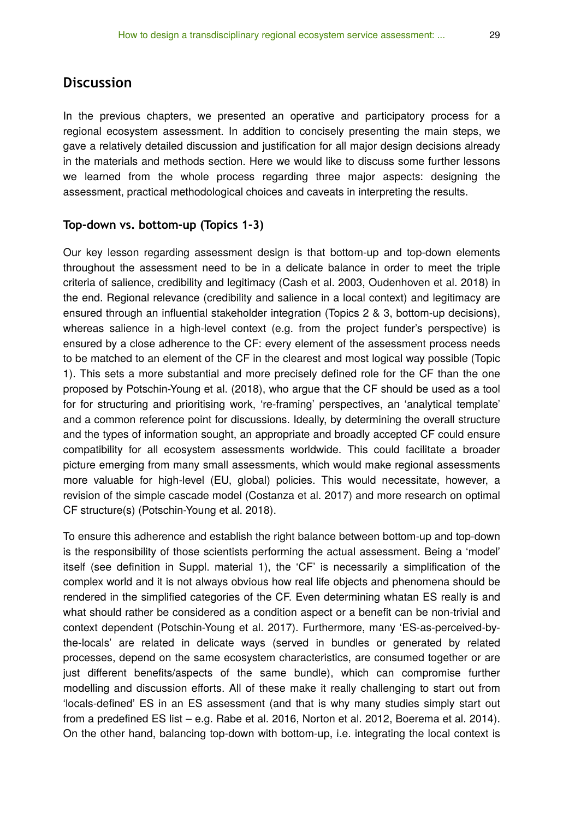# **Discussion**

In the previous chapters, we presented an operative and participatory process for a regional ecosystem assessment. In addition to concisely presenting the main steps, we gave a relatively detailed discussion and justification for all major design decisions already in the materials and methods section. Here we would like to discuss some further lessons we learned from the whole process regarding three major aspects: designing the assessment, practical methodological choices and caveats in interpreting the results.

#### **Top-down vs. bottom-up (Topics 1-3)**

Our key lesson regarding assessment design is that bottom-up and top-down elements throughout the assessment need to be in a delicate balance in order to meet the triple criteria of salience, credibility and legitimacy (Cash et al. 2003, Oudenhoven et al. 2018) in the end. Regional relevance (credibility and salience in a local context) and legitimacy are ensured through an influential stakeholder integration (Topics 2 & 3, bottom-up decisions), whereas salience in a high-level context (e.g. from the project funder's perspective) is ensured by a close adherence to the CF: every element of the assessment process needs to be matched to an element of the CF in the clearest and most logical way possible (Topic 1). This sets a more substantial and more precisely defined role for the CF than the one proposed by Potschin-Young et al. (2018), who argue that the CF should be used as a tool for for structuring and prioritising work, 're-framing' perspectives, an 'analytical template' and a common reference point for discussions. Ideally, by determining the overall structure and the types of information sought, an appropriate and broadly accepted CF could ensure compatibility for all ecosystem assessments worldwide. This could facilitate a broader picture emerging from many small assessments, which would make regional assessments more valuable for high-level (EU, global) policies. This would necessitate, however, a revision of the simple cascade model (Costanza et al. 2017) and more research on optimal CF structure(s) (Potschin-Young et al. 2018).

To ensure this adherence and establish the right balance between bottom-up and top-down is the responsibility of those scientists performing the actual assessment. Being a 'model' itself (see definition in Suppl. material 1), the 'CF' is necessarily a simplification of the complex world and it is not always obvious how real life objects and phenomena should be rendered in the simplified categories of the CF. Even determining whatan ES really is and what should rather be considered as a condition aspect or a benefit can be non-trivial and context dependent (Potschin-Young et al. 2017). Furthermore, many 'ES-as-perceived-bythe-locals' are related in delicate ways (served in bundles or generated by related processes, depend on the same ecosystem characteristics, are consumed together or are just different benefits/aspects of the same bundle), which can compromise further modelling and discussion efforts. All of these make it really challenging to start out from 'locals-defined' ES in an ES assessment (and that is why many studies simply start out from a predefined ES list – e.g. Rabe et al. 2016, Norton et al. 2012, Boerema et al. 2014). On the other hand, balancing top-down with bottom-up, i.e. integrating the local context is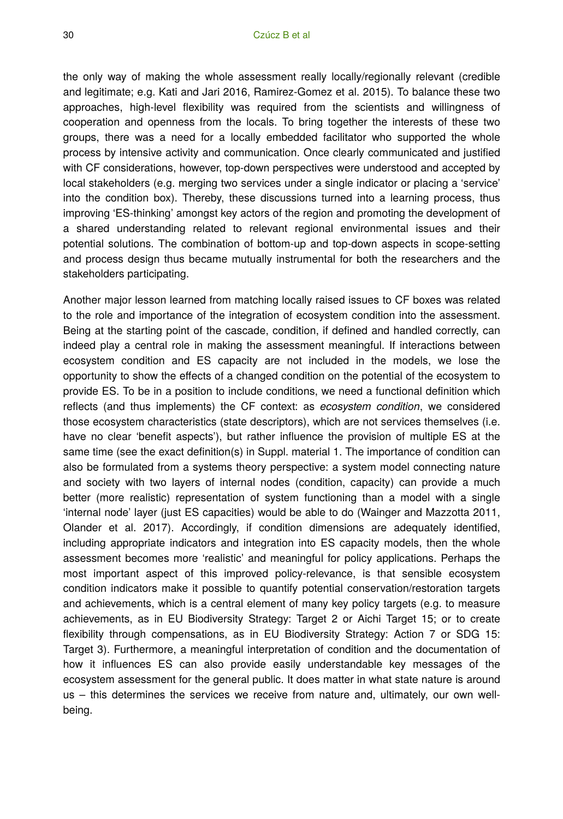the only way of making the whole assessment really locally/regionally relevant (credible and legitimate; e.g. Kati and Jari 2016, Ramirez-Gomez et al. 2015). To balance these two approaches, high-level flexibility was required from the scientists and willingness of cooperation and openness from the locals. To bring together the interests of these two groups, there was a need for a locally embedded facilitator who supported the whole process by intensive activity and communication. Once clearly communicated and justified with CF considerations, however, top-down perspectives were understood and accepted by local stakeholders (e.g. merging two services under a single indicator or placing a 'service' into the condition box). Thereby, these discussions turned into a learning process, thus improving 'ES-thinking' amongst key actors of the region and promoting the development of a shared understanding related to relevant regional environmental issues and their potential solutions. The combination of bottom-up and top-down aspects in scope-setting and process design thus became mutually instrumental for both the researchers and the stakeholders participating.

Another major lesson learned from matching locally raised issues to CF boxes was related to the role and importance of the integration of ecosystem condition into the assessment. Being at the starting point of the cascade, condition, if defined and handled correctly, can indeed play a central role in making the assessment meaningful. If interactions between ecosystem condition and ES capacity are not included in the models, we lose the opportunity to show the effects of a changed condition on the potential of the ecosystem to provide ES. To be in a position to include conditions, we need a functional definition which reflects (and thus implements) the CF context: as *ecosystem condition*, we considered those ecosystem characteristics (state descriptors), which are not services themselves (i.e. have no clear 'benefit aspects'), but rather influence the provision of multiple ES at the same time (see the exact definition(s) in Suppl. material 1. The importance of condition can also be formulated from a systems theory perspective: a system model connecting nature and society with two layers of internal nodes (condition, capacity) can provide a much better (more realistic) representation of system functioning than a model with a single 'internal node' layer (just ES capacities) would be able to do (Wainger and Mazzotta 2011, Olander et al. 2017). Accordingly, if condition dimensions are adequately identified, including appropriate indicators and integration into ES capacity models, then the whole assessment becomes more 'realistic' and meaningful for policy applications. Perhaps the most important aspect of this improved policy-relevance, is that sensible ecosystem condition indicators make it possible to quantify potential conservation/restoration targets and achievements, which is a central element of many key policy targets (e.g. to measure achievements, as in EU Biodiversity Strategy: Target 2 or Aichi Target 15; or to create flexibility through compensations, as in EU Biodiversity Strategy: Action 7 or SDG 15: Target 3). Furthermore, a meaningful interpretation of condition and the documentation of how it influences ES can also provide easily understandable key messages of the ecosystem assessment for the general public. It does matter in what state nature is around us – this determines the services we receive from nature and, ultimately, our own wellbeing.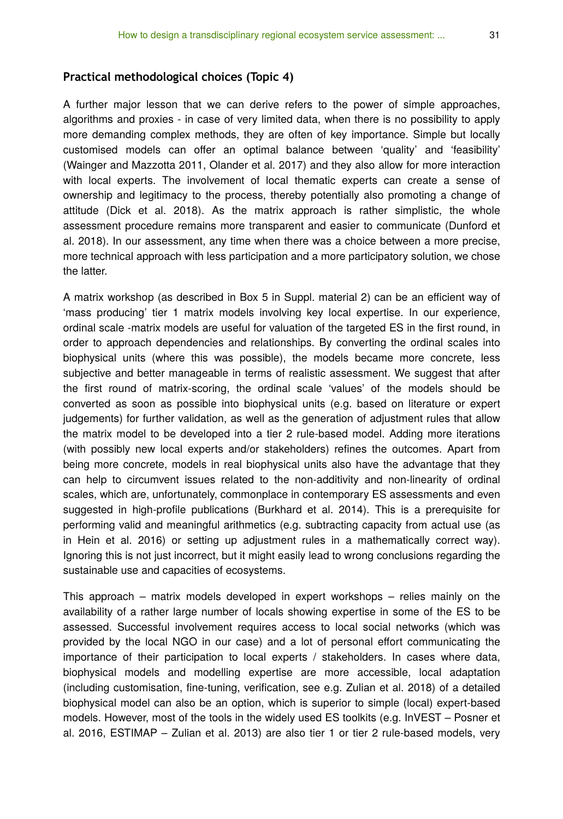## **Practical methodological choices (Topic 4)**

A further major lesson that we can derive refers to the power of simple approaches, algorithms and proxies - in case of very limited data, when there is no possibility to apply more demanding complex methods, they are often of key importance. Simple but locally customised models can offer an optimal balance between 'quality' and 'feasibility' (Wainger and Mazzotta 2011, Olander et al. 2017) and they also allow for more interaction with local experts. The involvement of local thematic experts can create a sense of ownership and legitimacy to the process, thereby potentially also promoting a change of attitude (Dick et al. 2018). As the matrix approach is rather simplistic, the whole assessment procedure remains more transparent and easier to communicate (Dunford et al. 2018). In our assessment, any time when there was a choice between a more precise, more technical approach with less participation and a more participatory solution, we chose the latter.

A matrix workshop (as described in Box 5 in Suppl. material 2) can be an efficient way of 'mass producing' tier 1 matrix models involving key local expertise. In our experience, ordinal scale -matrix models are useful for valuation of the targeted ES in the first round, in order to approach dependencies and relationships. By converting the ordinal scales into biophysical units (where this was possible), the models became more concrete, less subjective and better manageable in terms of realistic assessment. We suggest that after the first round of matrix-scoring, the ordinal scale 'values' of the models should be converted as soon as possible into biophysical units (e.g. based on literature or expert judgements) for further validation, as well as the generation of adjustment rules that allow the matrix model to be developed into a tier 2 rule-based model. Adding more iterations (with possibly new local experts and/or stakeholders) refines the outcomes. Apart from being more concrete, models in real biophysical units also have the advantage that they can help to circumvent issues related to the non-additivity and non-linearity of ordinal scales, which are, unfortunately, commonplace in contemporary ES assessments and even suggested in high-profile publications (Burkhard et al. 2014). This is a prerequisite for performing valid and meaningful arithmetics (e.g. subtracting capacity from actual use (as in Hein et al. 2016) or setting up adjustment rules in a mathematically correct way). Ignoring this is not just incorrect, but it might easily lead to wrong conclusions regarding the sustainable use and capacities of ecosystems.

This approach – matrix models developed in expert workshops – relies mainly on the availability of a rather large number of locals showing expertise in some of the ES to be assessed. Successful involvement requires access to local social networks (which was provided by the local NGO in our case) and a lot of personal effort communicating the importance of their participation to local experts / stakeholders. In cases where data, biophysical models and modelling expertise are more accessible, local adaptation (including customisation, fine-tuning, verification, see e.g. Zulian et al. 2018) of a detailed biophysical model can also be an option, which is superior to simple (local) expert-based models. However, most of the tools in the widely used ES toolkits (e.g. InVEST – Posner et al. 2016, ESTIMAP – Zulian et al. 2013) are also tier 1 or tier 2 rule-based models, very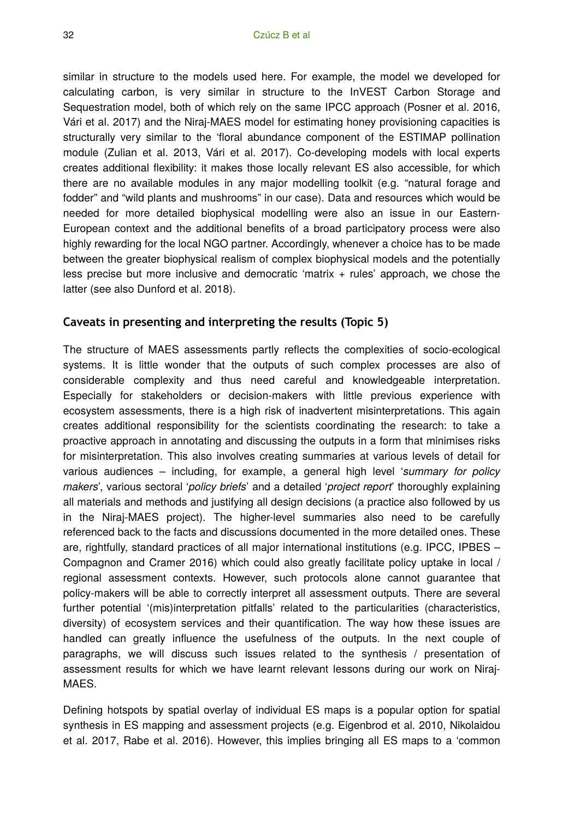similar in structure to the models used here. For example, the model we developed for calculating carbon, is very similar in structure to the InVEST Carbon Storage and Sequestration model, both of which rely on the same IPCC approach (Posner et al. 2016, Vári et al. 2017) and the Niraj-MAES model for estimating honey provisioning capacities is structurally very similar to the 'floral abundance component of the ESTIMAP pollination module (Zulian et al. 2013, Vári et al. 2017). Co-developing models with local experts creates additional flexibility: it makes those locally relevant ES also accessible, for which there are no available modules in any major modelling toolkit (e.g. "natural forage and fodder" and "wild plants and mushrooms" in our case). Data and resources which would be needed for more detailed biophysical modelling were also an issue in our Eastern-European context and the additional benefits of a broad participatory process were also highly rewarding for the local NGO partner. Accordingly, whenever a choice has to be made between the greater biophysical realism of complex biophysical models and the potentially less precise but more inclusive and democratic 'matrix + rules' approach, we chose the latter (see also Dunford et al. 2018).

#### **Caveats in presenting and interpreting the results (Topic 5)**

The structure of MAES assessments partly reflects the complexities of socio-ecological systems. It is little wonder that the outputs of such complex processes are also of considerable complexity and thus need careful and knowledgeable interpretation. Especially for stakeholders or decision-makers with little previous experience with ecosystem assessments, there is a high risk of inadvertent misinterpretations. This again creates additional responsibility for the scientists coordinating the research: to take a proactive approach in annotating and discussing the outputs in a form that minimises risks for misinterpretation. This also involves creating summaries at various levels of detail for various audiences – including, for example, a general high level '*summary for policy makers*', various sectoral '*policy briefs*' and a detailed '*project report*' thoroughly explaining all materials and methods and justifying all design decisions (a practice also followed by us in the Niraj-MAES project). The higher-level summaries also need to be carefully referenced back to the facts and discussions documented in the more detailed ones. These are, rightfully, standard practices of all major international institutions (e.g. IPCC, IPBES – Compagnon and Cramer 2016) which could also greatly facilitate policy uptake in local / regional assessment contexts. However, such protocols alone cannot guarantee that policy-makers will be able to correctly interpret all assessment outputs. There are several further potential '(mis)interpretation pitfalls' related to the particularities (characteristics, diversity) of ecosystem services and their quantification. The way how these issues are handled can greatly influence the usefulness of the outputs. In the next couple of paragraphs, we will discuss such issues related to the synthesis / presentation of assessment results for which we have learnt relevant lessons during our work on Niraj-MAES.

Defining hotspots by spatial overlay of individual ES maps is a popular option for spatial synthesis in ES mapping and assessment projects (e.g. Eigenbrod et al. 2010, Nikolaidou et al. 2017, Rabe et al. 2016). However, this implies bringing all ES maps to a 'common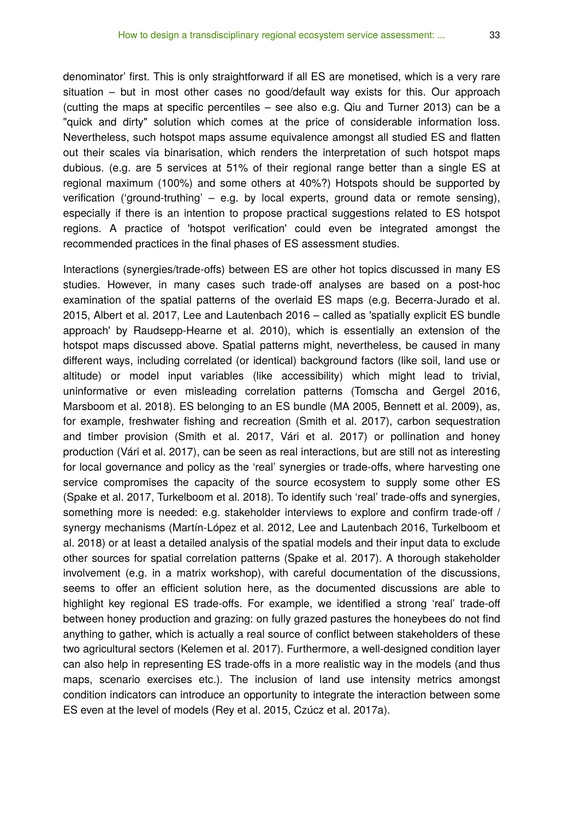denominator' first. This is only straightforward if all ES are monetised, which is a very rare situation – but in most other cases no good/default way exists for this. Our approach (cutting the maps at specific percentiles – see also e.g. Qiu and Turner 2013) can be a "quick and dirty" solution which comes at the price of considerable information loss. Nevertheless, such hotspot maps assume equivalence amongst all studied ES and flatten out their scales via binarisation, which renders the interpretation of such hotspot maps dubious. (e.g. are 5 services at 51% of their regional range better than a single ES at regional maximum (100%) and some others at 40%?) Hotspots should be supported by verification ('ground-truthing' – e.g. by local experts, ground data or remote sensing), especially if there is an intention to propose practical suggestions related to ES hotspot regions. A practice of 'hotspot verification' could even be integrated amongst the recommended practices in the final phases of ES assessment studies.

Interactions (synergies/trade-offs) between ES are other hot topics discussed in many ES studies. However, in many cases such trade-off analyses are based on a post-hoc examination of the spatial patterns of the overlaid ES maps (e.g. Becerra-Jurado et al. 2015, Albert et al. 2017, Lee and Lautenbach 2016 – called as 'spatially explicit ES bundle approach' by Raudsepp-Hearne et al. 2010), which is essentially an extension of the hotspot maps discussed above. Spatial patterns might, nevertheless, be caused in many different ways, including correlated (or identical) background factors (like soil, land use or altitude) or model input variables (like accessibility) which might lead to trivial, uninformative or even misleading correlation patterns (Tomscha and Gergel 2016, Marsboom et al. 2018). ES belonging to an ES bundle (MA 2005, Bennett et al. 2009), as, for example, freshwater fishing and recreation (Smith et al. 2017), carbon sequestration and timber provision (Smith et al. 2017, Vári et al. 2017) or pollination and honey production (Vári et al. 2017), can be seen as real interactions, but are still not as interesting for local governance and policy as the 'real' synergies or trade-offs, where harvesting one service compromises the capacity of the source ecosystem to supply some other ES (Spake et al. 2017, Turkelboom et al. 2018). To identify such 'real' trade-offs and synergies, something more is needed: e.g. stakeholder interviews to explore and confirm trade-off / synergy mechanisms (Martín-López et al. 2012, Lee and Lautenbach 2016, Turkelboom et al. 2018) or at least a detailed analysis of the spatial models and their input data to exclude other sources for spatial correlation patterns (Spake et al. 2017). A thorough stakeholder involvement (e.g. in a matrix workshop), with careful documentation of the discussions, seems to offer an efficient solution here, as the documented discussions are able to highlight key regional ES trade-offs. For example, we identified a strong 'real' trade-off between honey production and grazing: on fully grazed pastures the honeybees do not find anything to gather, which is actually a real source of conflict between stakeholders of these two agricultural sectors (Kelemen et al. 2017). Furthermore, a well-designed condition layer can also help in representing ES trade-offs in a more realistic way in the models (and thus maps, scenario exercises etc.). The inclusion of land use intensity metrics amongst condition indicators can introduce an opportunity to integrate the interaction between some ES even at the level of models (Rey et al. 2015, Czúcz et al. 2017a).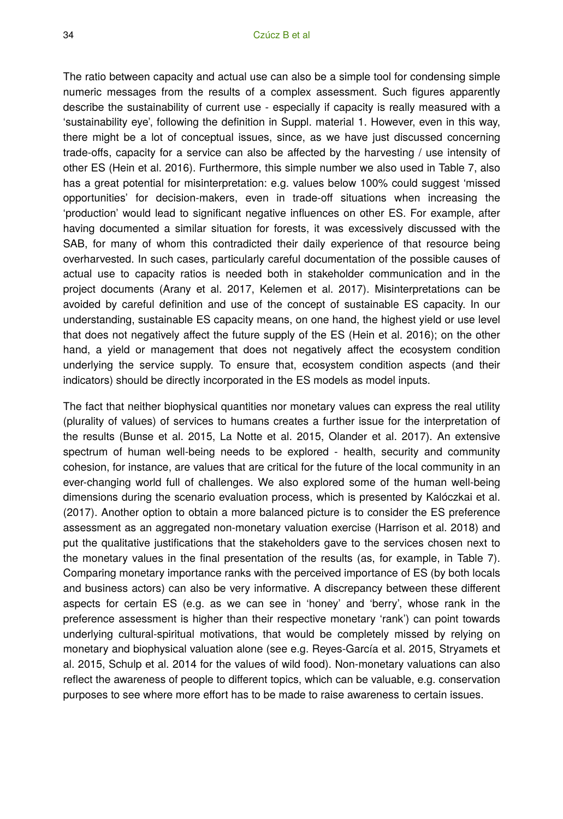The ratio between capacity and actual use can also be a simple tool for condensing simple numeric messages from the results of a complex assessment. Such figures apparently describe the sustainability of current use - especially if capacity is really measured with a 'sustainability eye', following the definition in Suppl. material 1. However, even in this way, there might be a lot of conceptual issues, since, as we have just discussed concerning trade-offs, capacity for a service can also be affected by the harvesting / use intensity of other ES (Hein et al. 2016). Furthermore, this simple number we also used in Table 7, also has a great potential for misinterpretation: e.g. values below 100% could suggest 'missed opportunities' for decision-makers, even in trade-off situations when increasing the 'production' would lead to significant negative influences on other ES. For example, after having documented a similar situation for forests, it was excessively discussed with the SAB, for many of whom this contradicted their daily experience of that resource being overharvested. In such cases, particularly careful documentation of the possible causes of actual use to capacity ratios is needed both in stakeholder communication and in the project documents (Arany et al. 2017, Kelemen et al. 2017). Misinterpretations can be avoided by careful definition and use of the concept of sustainable ES capacity. In our understanding, sustainable ES capacity means, on one hand, the highest yield or use level that does not negatively affect the future supply of the ES (Hein et al. 2016); on the other hand, a yield or management that does not negatively affect the ecosystem condition underlying the service supply. To ensure that, ecosystem condition aspects (and their indicators) should be directly incorporated in the ES models as model inputs.

The fact that neither biophysical quantities nor monetary values can express the real utility (plurality of values) of services to humans creates a further issue for the interpretation of the results (Bunse et al. 2015, La Notte et al. 2015, Olander et al. 2017). An extensive spectrum of human well-being needs to be explored - health, security and community cohesion, for instance, are values that are critical for the future of the local community in an ever-changing world full of challenges. We also explored some of the human well-being dimensions during the scenario evaluation process, which is presented by Kalóczkai et al. (2017). Another option to obtain a more balanced picture is to consider the ES preference assessment as an aggregated non-monetary valuation exercise (Harrison et al. 2018) and put the qualitative justifications that the stakeholders gave to the services chosen next to the monetary values in the final presentation of the results (as, for example, in Table 7). Comparing monetary importance ranks with the perceived importance of ES (by both locals and business actors) can also be very informative. A discrepancy between these different aspects for certain ES (e.g. as we can see in 'honey' and 'berry', whose rank in the preference assessment is higher than their respective monetary 'rank') can point towards underlying cultural-spiritual motivations, that would be completely missed by relying on monetary and biophysical valuation alone (see e.g. Reyes-García et al. 2015, Stryamets et al. 2015, Schulp et al. 2014 for the values of wild food). Non-monetary valuations can also reflect the awareness of people to different topics, which can be valuable, e.g. conservation purposes to see where more effort has to be made to raise awareness to certain issues.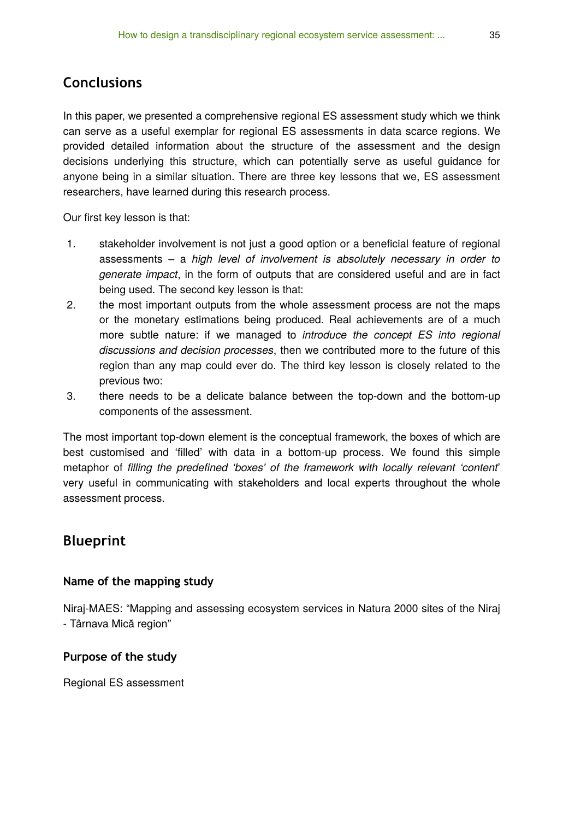# **Conclusions**

In this paper, we presented a comprehensive regional ES assessment study which we think can serve as a useful exemplar for regional ES assessments in data scarce regions. We provided detailed information about the structure of the assessment and the design decisions underlying this structure, which can potentially serve as useful guidance for anyone being in a similar situation. There are three key lessons that we, ES assessment researchers, have learned during this research process.

Our first key lesson is that:

- 1. stakeholder involvement is not just a good option or a beneficial feature of regional assessments – a *high level of involvement is absolutely necessary in order to generate impact*, in the form of outputs that are considered useful and are in fact being used. The second key lesson is that:
- 2. the most important outputs from the whole assessment process are not the maps or the monetary estimations being produced. Real achievements are of a much more subtle nature: if we managed to *introduce the concept ES into regional discussions and decision processes*, then we contributed more to the future of this region than any map could ever do. The third key lesson is closely related to the previous two:
- 3. there needs to be a delicate balance between the top-down and the bottom-up components of the assessment.

The most important top-down element is the conceptual framework, the boxes of which are best customised and 'filled' with data in a bottom-up process. We found this simple metaphor of *filling the predefined 'boxes' of the framework with locally relevant 'content*' very useful in communicating with stakeholders and local experts throughout the whole assessment process.

# **Blueprint**

#### **Name of the mapping study**

Niraj-MAES: "Mapping and assessing ecosystem services in Natura 2000 sites of the Niraj - Târnava Mică region"

#### **Purpose of the study**

Regional ES assessment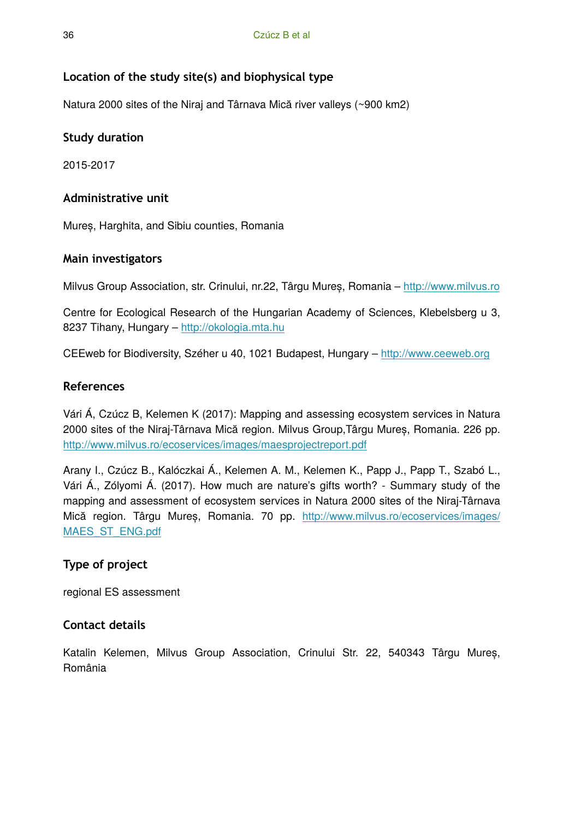# **Location of the study site(s) and biophysical type**

Natura 2000 sites of the Niraj and Târnava Mică river valleys (~900 km2)

## **Study duration**

2015-2017

## **Administrative unit**

Mureș, Harghita, and Sibiu counties, Romania

## **Main investigators**

Milvus Group Association, str. Crinului, nr.22, Târgu Mureș, Romania –<http://www.milvus.ro>

Centre for Ecological Research of the Hungarian Academy of Sciences, Klebelsberg u 3, 8237 Tihany, Hungary –<http://okologia.mta.hu>

CEEweb for Biodiversity, Széher u 40, 1021 Budapest, Hungary –<http://www.ceeweb.org>

## **References**

Vári Á, Czúcz B, Kelemen K (2017): Mapping and assessing ecosystem services in Natura 2000 sites of the Niraj-Târnava Mică region. Milvus Group,Târgu Mureș, Romania. 226 pp. <http://www.milvus.ro/ecoservices/images/maesprojectreport.pdf>

Arany I., Czúcz B., Kalóczkai Á., Kelemen A. M., Kelemen K., Papp J., Papp T., Szabó L., Vári Á., Zólyomi Á. (2017). How much are nature's gifts worth? - Summary study of the mapping and assessment of ecosystem services in Natura 2000 sites of the Niraj-Târnava Mică region. Târgu Mureș, Romania. 70 pp. [http://www.milvus.ro/ecoservices/images/](http://www.milvus.ro/ecoservices/images/MAES_ST_ENG.pdf) [MAES\\_ST\\_ENG.pdf](http://www.milvus.ro/ecoservices/images/MAES_ST_ENG.pdf)

# **Type of project**

regional ES assessment

## **Contact details**

Katalin Kelemen, Milvus Group Association, Crinului Str. 22, 540343 Târgu Mureș, România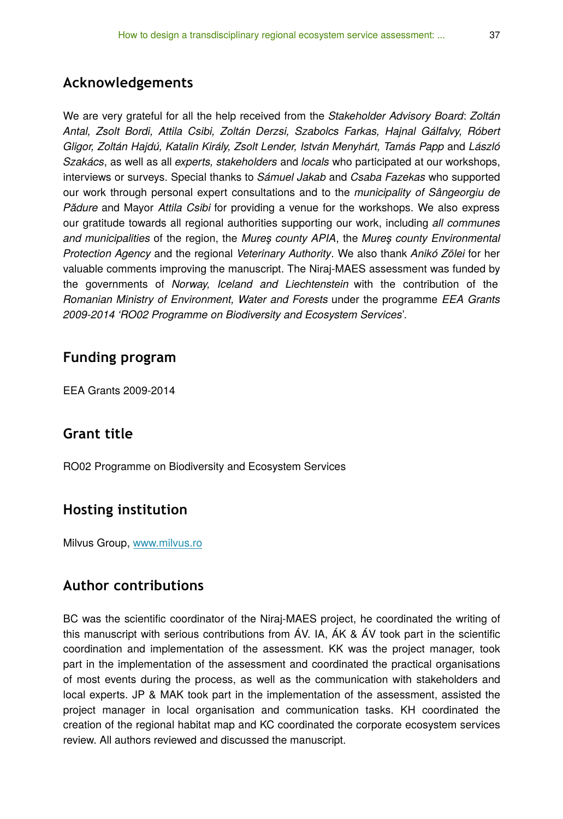# **Acknowledgements**

We are very grateful for all the help received from the *Stakeholder Advisory Board*: *Zoltán Antal, Zsolt Bordi, Attila Csibi, Zoltán Derzsi, Szabolcs Farkas, Hajnal Gálfalvy, Róbert Gligor, Zoltán Hajdú, Katalin Király, Zsolt Lender, István Menyhárt, Tamás Papp* and *László Szakács*, as well as all *experts, stakeholders* and *locals* who participated at our workshops, interviews or surveys. Special thanks to *Sámuel Jakab* and *Csaba Fazekas* who supported our work through personal expert consultations and to the *municipality of Sângeorgiu de Pădure* and Mayor *Attila Csibi* for providing a venue for the workshops. We also express our gratitude towards all regional authorities supporting our work, including *all communes and municipalities* of the region, the *Mureş county APIA*, the *Mureş county Environmental Protection Agency* and the regional *Veterinary Authority*. We also thank *Anikó Zölei* for her valuable comments improving the manuscript. The Niraj-MAES assessment was funded by the governments of *Norway, Iceland and Liechtenstein* with the contribution of the *Romanian Ministry of Environment, Water and Forests* under the programme *EEA Grants 2009-2014 'RO02 Programme on Biodiversity and Ecosystem Services*'.

# **Funding program**

EEA Grants 2009-2014

# **Grant title**

RO02 Programme on Biodiversity and Ecosystem Services

# **Hosting institution**

Milvus Group, [www.milvus.ro](http://www.milvus.ro)

# **Author contributions**

BC was the scientific coordinator of the Niraj-MAES project, he coordinated the writing of this manuscript with serious contributions from ÁV. IA, ÁK & ÁV took part in the scientific coordination and implementation of the assessment. KK was the project manager, took part in the implementation of the assessment and coordinated the practical organisations of most events during the process, as well as the communication with stakeholders and local experts. JP & MAK took part in the implementation of the assessment, assisted the project manager in local organisation and communication tasks. KH coordinated the creation of the regional habitat map and KC coordinated the corporate ecosystem services review. All authors reviewed and discussed the manuscript.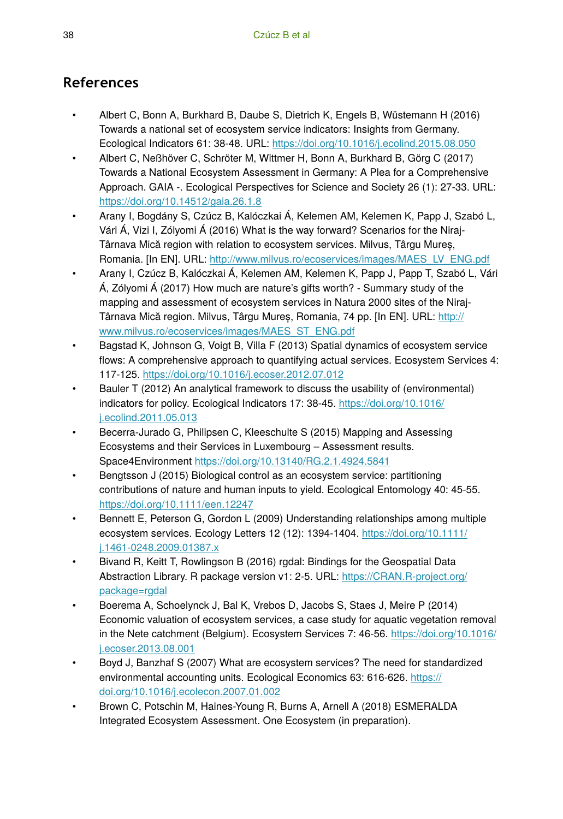# **References**

- Albert C, Bonn A, Burkhard B, Daube S, Dietrich K, Engels B, Wüstemann H (2016) Towards a national set of ecosystem service indicators: Insights from Germany. Ecological Indicators 61: 38‑48. URL: <https://doi.org/10.1016/j.ecolind.2015.08.050>
- Albert C, Neßhöver C, Schröter M, Wittmer H, Bonn A, Burkhard B, Görg C (2017) Towards a National Ecosystem Assessment in Germany: A Plea for a Comprehensive Approach. GAIA -. Ecological Perspectives for Science and Society 26 (1): 27‑33. URL: <https://doi.org/10.14512/gaia.26.1.8>
- Arany I, Bogdány S, Czúcz B, Kalóczkai Á, Kelemen AM, Kelemen K, Papp J, Szabó L, Vári Á, Vizi I, Zólyomi Á (2016) What is the way forward? Scenarios for the Niraj-Târnava Mică region with relation to ecosystem services. Milvus, Târgu Mureș, Romania. [In EN]. URL: [http://www.milvus.ro/ecoservices/images/MAES\\_LV\\_ENG.pdf](http://www.milvus.ro/ecoservices/images/MAES_LV_ENG.pdf)
- Arany I, Czúcz B, Kalóczkai Á, Kelemen AM, Kelemen K, Papp J, Papp T, Szabó L, Vári Á, Zólyomi Á (2017) How much are nature's gifts worth? - Summary study of the mapping and assessment of ecosystem services in Natura 2000 sites of the Niraj-Târnava Mică region. Milvus, Târgu Mureș, Romania, 74 pp. [In EN]. URL: [http://](http://www.milvus.ro/ecoservices/images/MAES_ST_ENG.pdf) [www.milvus.ro/ecoservices/images/MAES\\_ST\\_ENG.pdf](http://www.milvus.ro/ecoservices/images/MAES_ST_ENG.pdf)
- Bagstad K, Johnson G, Voigt B, Villa F (2013) Spatial dynamics of ecosystem service flows: A comprehensive approach to quantifying actual services. Ecosystem Services 4: 117‑125. <https://doi.org/10.1016/j.ecoser.2012.07.012>
- Bauler T (2012) An analytical framework to discuss the usability of (environmental) indicators for policy. Ecological Indicators 17: 38‑45. [https://doi.org/10.1016/](https://doi.org/10.1016/j.ecolind.2011.05.013) [j.ecolind.2011.05.013](https://doi.org/10.1016/j.ecolind.2011.05.013)
- Becerra-Jurado G, Philipsen C, Kleeschulte S (2015) Mapping and Assessing Ecosystems and their Services in Luxembourg – Assessment results. Space4Environment <https://doi.org/10.13140/RG.2.1.4924.5841>
- Bengtsson J (2015) Biological control as an ecosystem service: partitioning contributions of nature and human inputs to yield. Ecological Entomology 40: 45‑55. <https://doi.org/10.1111/een.12247>
- Bennett E, Peterson G, Gordon L (2009) Understanding relationships among multiple ecosystem services. Ecology Letters 12 (12): 1394-1404. [https://doi.org/10.1111/](https://doi.org/10.1111/j.1461-0248.2009.01387.x) [j.1461-0248.2009.01387.x](https://doi.org/10.1111/j.1461-0248.2009.01387.x)
- Bivand R, Keitt T, Rowlingson B (2016) rgdal: Bindings for the Geospatial Data Abstraction Library. R package version v1: 2‑5. URL: [https://CRAN.R-project.org/](https://CRAN.R-project.org/package=rgdal) [package=rgdal](https://CRAN.R-project.org/package=rgdal)
- Boerema A, Schoelynck J, Bal K, Vrebos D, Jacobs S, Staes J, Meire P (2014) Economic valuation of ecosystem services, a case study for aquatic vegetation removal in the Nete catchment (Belgium). Ecosystem Services 7: 46‑56. [https://doi.org/10.1016/](https://doi.org/10.1016/j.ecoser.2013.08.001) [j.ecoser.2013.08.001](https://doi.org/10.1016/j.ecoser.2013.08.001)
- Boyd J, Banzhaf S (2007) What are ecosystem services? The need for standardized environmental accounting units. Ecological Economics 63: 616‑626. [https://](https://doi.org/10.1016/j.ecolecon.2007.01.002) [doi.org/10.1016/j.ecolecon.2007.01.002](https://doi.org/10.1016/j.ecolecon.2007.01.002)
- Brown C, Potschin M, Haines-Young R, Burns A, Arnell A (2018) ESMERALDA Integrated Ecosystem Assessment. One Ecosystem (in preparation).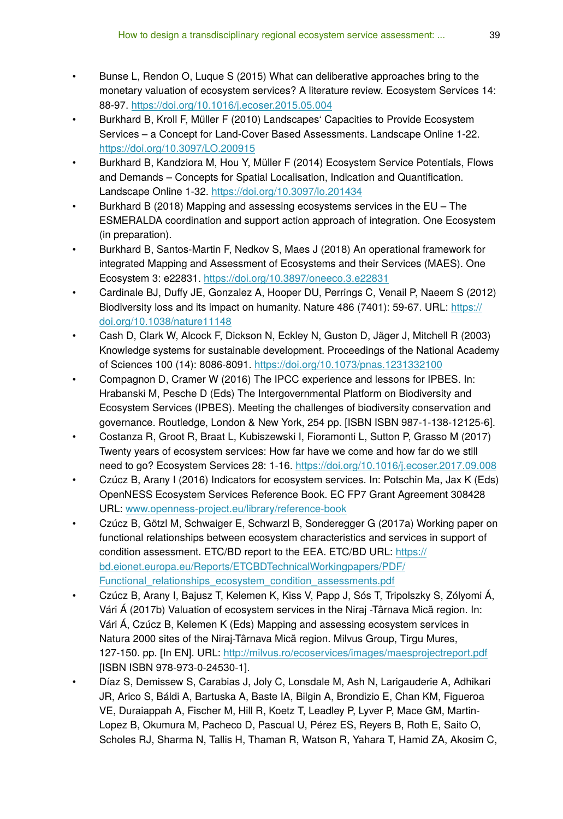- Bunse L, Rendon O, Luque S (2015) What can deliberative approaches bring to the monetary valuation of ecosystem services? A literature review. Ecosystem Services 14: 88‑97.<https://doi.org/10.1016/j.ecoser.2015.05.004>
- Burkhard B, Kroll F, Müller F (2010) Landscapes' Capacities to Provide Ecosystem Services – a Concept for Land-Cover Based Assessments. Landscape Online 1‑22. <https://doi.org/10.3097/LO.200915>
- Burkhard B, Kandziora M, Hou Y, Müller F (2014) Ecosystem Service Potentials, Flows and Demands – Concepts for Spatial Localisation, Indication and Quantification. Landscape Online 1‑32. <https://doi.org/10.3097/lo.201434>
- Burkhard B (2018) Mapping and assessing ecosystems services in the EU The ESMERALDA coordination and support action approach of integration. One Ecosystem (in preparation).
- Burkhard B, Santos-Martin F, Nedkov S, Maes J (2018) An operational framework for integrated Mapping and Assessment of Ecosystems and their Services (MAES). One Ecosystem 3: e22831.<https://doi.org/10.3897/oneeco.3.e22831>
- Cardinale BJ, Duffy JE, Gonzalez A, Hooper DU, Perrings C, Venail P, Naeem S (2012) Biodiversity loss and its impact on humanity. Nature 486 (7401): 59-67. URL: [https://](https://doi.org/10.1038/nature11148) [doi.org/10.1038/nature11148](https://doi.org/10.1038/nature11148)
- Cash D, Clark W, Alcock F, Dickson N, Eckley N, Guston D, Jäger J, Mitchell R (2003) Knowledge systems for sustainable development. Proceedings of the National Academy of Sciences 100 (14): 8086‑8091.<https://doi.org/10.1073/pnas.1231332100>
- Compagnon D, Cramer W (2016) The IPCC experience and lessons for IPBES. In: Hrabanski M, Pesche D (Eds) The Intergovernmental Platform on Biodiversity and Ecosystem Services (IPBES). Meeting the challenges of biodiversity conservation and governance. Routledge, London & New York, 254 pp. [ISBN ISBN 987-1-138-12125-6].
- Costanza R, Groot R, Braat L, Kubiszewski I, Fioramonti L, Sutton P, Grasso M (2017) Twenty years of ecosystem services: How far have we come and how far do we still need to go? Ecosystem Services 28: 1‑16.<https://doi.org/10.1016/j.ecoser.2017.09.008>
- Czúcz B, Arany I (2016) Indicators for ecosystem services. In: Potschin Ma, Jax K (Eds) OpenNESS Ecosystem Services Reference Book. EC FP7 Grant Agreement 308428 URL: [www.openness-project.eu/library/reference-book](http://www.openness-project.eu/library/reference-book)
- Czúcz B, Götzl M, Schwaiger E, Schwarzl B, Sonderegger G (2017a) Working paper on functional relationships between ecosystem characteristics and services in support of condition assessment. ETC/BD report to the EEA. ETC/BD URL: [https://](https://bd.eionet.europa.eu/Reports/ETCBDTechnicalWorkingpapers/PDF/Functional_relationships_ecosystem_condition_assessments.pdf) [bd.eionet.europa.eu/Reports/ETCBDTechnicalWorkingpapers/PDF/](https://bd.eionet.europa.eu/Reports/ETCBDTechnicalWorkingpapers/PDF/Functional_relationships_ecosystem_condition_assessments.pdf) Functional relationships ecosystem condition assessments.pdf
- Czúcz B, Arany I, Bajusz T, Kelemen K, Kiss V, Papp J, Sós T, Tripolszky S, Zólyomi Á, Vári Á (2017b) Valuation of ecosystem services in the Niraj -Târnava Mică region. In: Vári Á, Czúcz B, Kelemen K (Eds) Mapping and assessing ecosystem services in Natura 2000 sites of the Niraj-Târnava Mică region. Milvus Group, Tirgu Mures, 127-150. pp. [In EN]. URL: <http://milvus.ro/ecoservices/images/maesprojectreport.pdf> [ISBN ISBN 978-973-0-24530-1].
- Díaz S, Demissew S, Carabias J, Joly C, Lonsdale M, Ash N, Larigauderie A, Adhikari JR, Arico S, Báldi A, Bartuska A, Baste IA, Bilgin A, Brondizio E, Chan KM, Figueroa VE, Duraiappah A, Fischer M, Hill R, Koetz T, Leadley P, Lyver P, Mace GM, Martin-Lopez B, Okumura M, Pacheco D, Pascual U, Pérez ES, Reyers B, Roth E, Saito O, Scholes RJ, Sharma N, Tallis H, Thaman R, Watson R, Yahara T, Hamid ZA, Akosim C,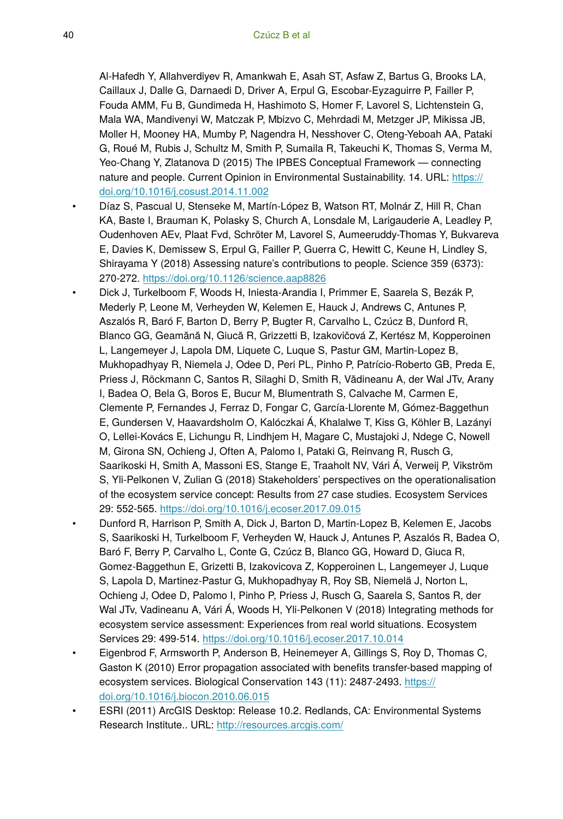Al-Hafedh Y, Allahverdiyev R, Amankwah E, Asah ST, Asfaw Z, Bartus G, Brooks LA, Caillaux J, Dalle G, Darnaedi D, Driver A, Erpul G, Escobar-Eyzaguirre P, Failler P, Fouda AMM, Fu B, Gundimeda H, Hashimoto S, Homer F, Lavorel S, Lichtenstein G, Mala WA, Mandivenyi W, Matczak P, Mbizvo C, Mehrdadi M, Metzger JP, Mikissa JB, Moller H, Mooney HA, Mumby P, Nagendra H, Nesshover C, Oteng-Yeboah AA, Pataki G, Roué M, Rubis J, Schultz M, Smith P, Sumaila R, Takeuchi K, Thomas S, Verma M, Yeo-Chang Y, Zlatanova D (2015) The IPBES Conceptual Framework — connecting nature and people. Current Opinion in Environmental Sustainability. 14. URL: [https://](https://doi.org/10.1016/j.cosust.2014.11.002) [doi.org/10.1016/j.cosust.2014.11.002](https://doi.org/10.1016/j.cosust.2014.11.002)

- Díaz S, Pascual U, Stenseke M, Martín-López B, Watson RT, Molnár Z, Hill R, Chan KA, Baste I, Brauman K, Polasky S, Church A, Lonsdale M, Larigauderie A, Leadley P, Oudenhoven AEv, Plaat Fvd, Schröter M, Lavorel S, Aumeeruddy-Thomas Y, Bukvareva E, Davies K, Demissew S, Erpul G, Failler P, Guerra C, Hewitt C, Keune H, Lindley S, Shirayama Y (2018) Assessing nature's contributions to people. Science 359 (6373): 270‑272. <https://doi.org/10.1126/science.aap8826>
- Dick J, Turkelboom F, Woods H, Iniesta-Arandia I, Primmer E, Saarela S, Bezák P, Mederly P, Leone M, Verheyden W, Kelemen E, Hauck J, Andrews C, Antunes P, Aszalós R, Baró F, Barton D, Berry P, Bugter R, Carvalho L, Czúcz B, Dunford R, Blanco GG, Geamănă N, Giucă R, Grizzetti B, Izakovičová Z, Kertész M, Kopperoinen L, Langemeyer J, Lapola DM, Liquete C, Luque S, Pastur GM, Martin-Lopez B, Mukhopadhyay R, Niemela J, Odee D, Peri PL, Pinho P, Patrício-Roberto GB, Preda E, Priess J, Röckmann C, Santos R, Silaghi D, Smith R, Vădineanu A, der Wal JTv, Arany I, Badea O, Bela G, Boros E, Bucur M, Blumentrath S, Calvache M, Carmen E, Clemente P, Fernandes J, Ferraz D, Fongar C, García-Llorente M, Gómez-Baggethun E, Gundersen V, Haavardsholm O, Kalóczkai Á, Khalalwe T, Kiss G, Köhler B, Lazányi O, Lellei-Kovács E, Lichungu R, Lindhjem H, Magare C, Mustajoki J, Ndege C, Nowell M, Girona SN, Ochieng J, Often A, Palomo I, Pataki G, Reinvang R, Rusch G, Saarikoski H, Smith A, Massoni ES, Stange E, Traaholt NV, Vári Á, Verweij P, Vikström S, Yli-Pelkonen V, Zulian G (2018) Stakeholders' perspectives on the operationalisation of the ecosystem service concept: Results from 27 case studies. Ecosystem Services 29: 552‑565. <https://doi.org/10.1016/j.ecoser.2017.09.015>
- Dunford R, Harrison P, Smith A, Dick J, Barton D, Martin-Lopez B, Kelemen E, Jacobs S, Saarikoski H, Turkelboom F, Verheyden W, Hauck J, Antunes P, Aszalós R, Badea O, Baró F, Berry P, Carvalho L, Conte G, Czúcz B, Blanco GG, Howard D, Giuca R, Gomez-Baggethun E, Grizetti B, Izakovicova Z, Kopperoinen L, Langemeyer J, Luque S, Lapola D, Martinez-Pastur G, Mukhopadhyay R, Roy SB, Niemelä J, Norton L, Ochieng J, Odee D, Palomo I, Pinho P, Priess J, Rusch G, Saarela S, Santos R, der Wal JTv, Vadineanu A, Vári Á, Woods H, Yli-Pelkonen V (2018) Integrating methods for ecosystem service assessment: Experiences from real world situations. Ecosystem Services 29: 499‑514.<https://doi.org/10.1016/j.ecoser.2017.10.014>
- Eigenbrod F, Armsworth P, Anderson B, Heinemeyer A, Gillings S, Roy D, Thomas C, Gaston K (2010) Error propagation associated with benefits transfer-based mapping of ecosystem services. Biological Conservation 143 (11): 2487-2493. [https://](https://doi.org/10.1016/j.biocon.2010.06.015) [doi.org/10.1016/j.biocon.2010.06.015](https://doi.org/10.1016/j.biocon.2010.06.015)
- ESRI (2011) ArcGIS Desktop: Release 10.2. Redlands, CA: Environmental Systems Research Institute.. URL:<http://resources.arcgis.com/>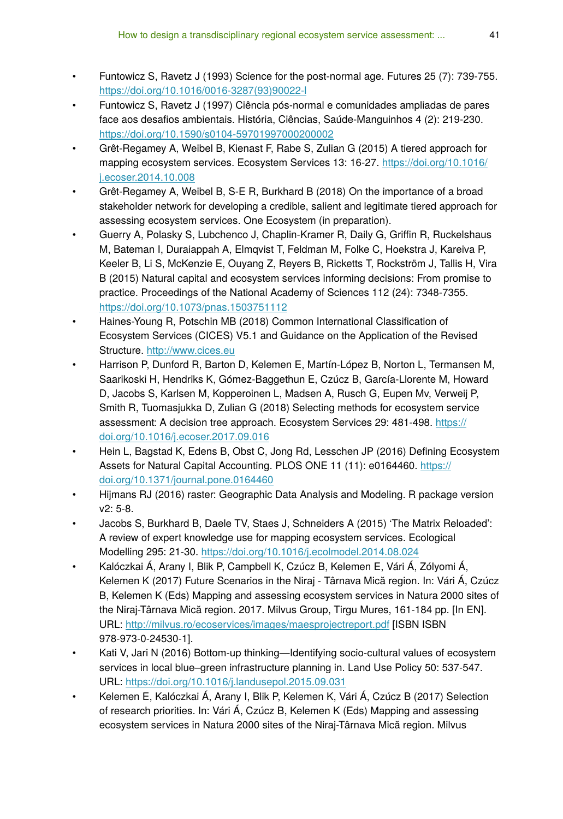- Funtowicz S, Ravetz J (1993) Science for the post-normal age. Futures 25 (7): 739‑755. [https://doi.org/10.1016/0016-3287\(93\)90022-l](https://doi.org/10.1016/0016-3287(93)90022-l)
- Funtowicz S, Ravetz J (1997) Ciência pós-normal e comunidades ampliadas de pares face aos desafios ambientais. História, Ciências, Saúde-Manguinhos 4 (2): 219‑230. <https://doi.org/10.1590/s0104-59701997000200002>
- Grêt-Regamey A, Weibel B, Kienast F, Rabe S, Zulian G (2015) A tiered approach for mapping ecosystem services. Ecosystem Services 13: 16-27. [https://doi.org/10.1016/](https://doi.org/10.1016/j.ecoser.2014.10.008) [j.ecoser.2014.10.008](https://doi.org/10.1016/j.ecoser.2014.10.008)
- Grêt-Regamey A, Weibel B, S-E R, Burkhard B (2018) On the importance of a broad stakeholder network for developing a credible, salient and legitimate tiered approach for assessing ecosystem services. One Ecosystem (in preparation).
- Guerry A, Polasky S, Lubchenco J, Chaplin-Kramer R, Daily G, Griffin R, Ruckelshaus M, Bateman I, Duraiappah A, Elmqvist T, Feldman M, Folke C, Hoekstra J, Kareiva P, Keeler B, Li S, McKenzie E, Ouyang Z, Reyers B, Ricketts T, Rockström J, Tallis H, Vira B (2015) Natural capital and ecosystem services informing decisions: From promise to practice. Proceedings of the National Academy of Sciences 112 (24): 7348-7355. <https://doi.org/10.1073/pnas.1503751112>
- Haines-Young R, Potschin MB (2018) Common International Classification of Ecosystem Services (CICES) V5.1 and Guidance on the Application of the Revised Structure. <http://www.cices.eu>
- Harrison P, Dunford R, Barton D, Kelemen E, Martín-López B, Norton L, Termansen M, Saarikoski H, Hendriks K, Gómez-Baggethun E, Czúcz B, García-Llorente M, Howard D, Jacobs S, Karlsen M, Kopperoinen L, Madsen A, Rusch G, Eupen Mv, Verweij P, Smith R, Tuomasjukka D, Zulian G (2018) Selecting methods for ecosystem service assessment: A decision tree approach. Ecosystem Services 29: 481‑498. [https://](https://doi.org/10.1016/j.ecoser.2017.09.016) [doi.org/10.1016/j.ecoser.2017.09.016](https://doi.org/10.1016/j.ecoser.2017.09.016)
- Hein L, Bagstad K, Edens B, Obst C, Jong Rd, Lesschen JP (2016) Defining Ecosystem Assets for Natural Capital Accounting. PLOS ONE 11 (11): e0164460. [https://](https://doi.org/10.1371/journal.pone.0164460) [doi.org/10.1371/journal.pone.0164460](https://doi.org/10.1371/journal.pone.0164460)
- Hijmans RJ (2016) raster: Geographic Data Analysis and Modeling. R package version v2: 5‑8.
- Jacobs S, Burkhard B, Daele TV, Staes J, Schneiders A (2015) 'The Matrix Reloaded': A review of expert knowledge use for mapping ecosystem services. Ecological Modelling 295: 21‑30.<https://doi.org/10.1016/j.ecolmodel.2014.08.024>
- Kalóczkai Á, Arany I, Blik P, Campbell K, Czúcz B, Kelemen E, Vári Á, Zólyomi Á, Kelemen K (2017) Future Scenarios in the Niraj - Târnava Mică region. In: Vári Á, Czúcz B, Kelemen K (Eds) Mapping and assessing ecosystem services in Natura 2000 sites of the Niraj-Târnava Mică region. 2017. Milvus Group, Tirgu Mures, 161-184 pp. [In EN]. URL:<http://milvus.ro/ecoservices/images/maesprojectreport.pdf> [ISBN ISBN 978-973-0-24530-1].
- Kati V, Jari N (2016) Bottom-up thinking—Identifying socio-cultural values of ecosystem services in local blue–green infrastructure planning in. Land Use Policy 50: 537‑547. URL:<https://doi.org/10.1016/j.landusepol.2015.09.031>
- Kelemen E, Kalóczkai Á, Arany I, Blik P, Kelemen K, Vári Á, Czúcz B (2017) Selection of research priorities. In: Vári Á, Czúcz B, Kelemen K (Eds) Mapping and assessing ecosystem services in Natura 2000 sites of the Niraj-Târnava Mică region. Milvus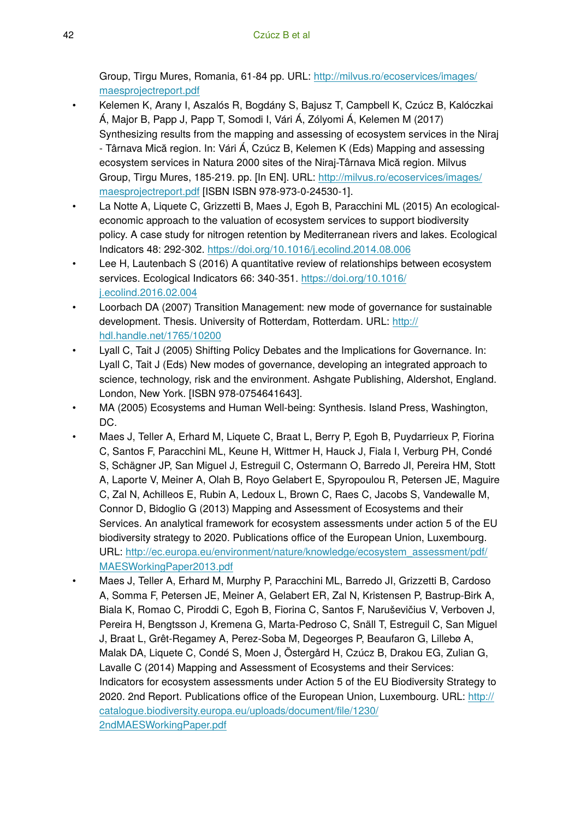Group, Tirgu Mures, Romania, 61-84 pp. URL: [http://milvus.ro/ecoservices/images/](http://milvus.ro/ecoservices/images/maesprojectreport.pdf) [maesprojectreport.pdf](http://milvus.ro/ecoservices/images/maesprojectreport.pdf)

- Kelemen K, Arany I, Aszalós R, Bogdány S, Bajusz T, Campbell K, Czúcz B, Kalóczkai Á, Major B, Papp J, Papp T, Somodi I, Vári Á, Zólyomi Á, Kelemen M (2017) Synthesizing results from the mapping and assessing of ecosystem services in the Niraj - Târnava Mică region. In: Vári Á, Czúcz B, Kelemen K (Eds) Mapping and assessing ecosystem services in Natura 2000 sites of the Niraj-Târnava Mică region. Milvus Group, Tirgu Mures, 185-219. pp. [In EN]. URL: [http://milvus.ro/ecoservices/images/](http://milvus.ro/ecoservices/images/maesprojectreport.pdf) [maesprojectreport.pdf](http://milvus.ro/ecoservices/images/maesprojectreport.pdf) [ISBN ISBN 978-973-0-24530-1].
- La Notte A, Liquete C, Grizzetti B, Maes J, Egoh B, Paracchini ML (2015) An ecologicaleconomic approach to the valuation of ecosystem services to support biodiversity policy. A case study for nitrogen retention by Mediterranean rivers and lakes. Ecological Indicators 48: 292‑302.<https://doi.org/10.1016/j.ecolind.2014.08.006>
- Lee H, Lautenbach S (2016) A quantitative review of relationships between ecosystem services. Ecological Indicators 66: 340-351. [https://doi.org/10.1016/](https://doi.org/10.1016/j.ecolind.2016.02.004) [j.ecolind.2016.02.004](https://doi.org/10.1016/j.ecolind.2016.02.004)
- Loorbach DA (2007) Transition Management: new mode of governance for sustainable development. Thesis. University of Rotterdam, Rotterdam. URL: [http://](http://hdl.handle.net/1765/10200) [hdl.handle.net/1765/10200](http://hdl.handle.net/1765/10200)
- Lyall C, Tait J (2005) Shifting Policy Debates and the Implications for Governance. In: Lyall C, Tait J (Eds) New modes of governance, developing an integrated approach to science, technology, risk and the environment. Ashgate Publishing, Aldershot, England. London, New York. [ISBN 978-0754641643].
- MA (2005) Ecosystems and Human Well-being: Synthesis. Island Press, Washington, DC.
- Maes J, Teller A, Erhard M, Liquete C, Braat L, Berry P, Egoh B, Puydarrieux P, Fiorina C, Santos F, Paracchini ML, Keune H, Wittmer H, Hauck J, Fiala I, Verburg PH, Condé S, Schägner JP, San Miguel J, Estreguil C, Ostermann O, Barredo JI, Pereira HM, Stott A, Laporte V, Meiner A, Olah B, Royo Gelabert E, Spyropoulou R, Petersen JE, Maguire C, Zal N, Achilleos E, Rubin A, Ledoux L, Brown C, Raes C, Jacobs S, Vandewalle M, Connor D, Bidoglio G (2013) Mapping and Assessment of Ecosystems and their Services. An analytical framework for ecosystem assessments under action 5 of the EU biodiversity strategy to 2020. Publications office of the European Union, Luxembourg. URL: [http://ec.europa.eu/environment/nature/knowledge/ecosystem\\_assessment/pdf/](http://ec.europa.eu/environment/nature/knowledge/ecosystem_assessment/pdf/MAESWorkingPaper2013.pdf) [MAESWorkingPaper2013.pdf](http://ec.europa.eu/environment/nature/knowledge/ecosystem_assessment/pdf/MAESWorkingPaper2013.pdf)
- Maes J, Teller A, Erhard M, Murphy P, Paracchini ML, Barredo JI, Grizzetti B, Cardoso A, Somma F, Petersen JE, Meiner A, Gelabert ER, Zal N, Kristensen P, Bastrup-Birk A, Biala K, Romao C, Piroddi C, Egoh B, Fiorina C, Santos F, Naruševičius V, Verboven J, Pereira H, Bengtsson J, Kremena G, Marta-Pedroso C, Snäll T, Estreguil C, San Miguel J, Braat L, Grêt-Regamey A, Perez-Soba M, Degeorges P, Beaufaron G, Lillebø A, Malak DA, Liquete C, Condé S, Moen J, Östergård H, Czúcz B, Drakou EG, Zulian G, Lavalle C (2014) Mapping and Assessment of Ecosystems and their Services: Indicators for ecosystem assessments under Action 5 of the EU Biodiversity Strategy to 2020. 2nd Report. Publications office of the European Union, Luxembourg. URL: [http://](http://http://catalogue.biodiversity.europa.eu/uploads/document/file/1230/%202ndMAESWorkingPaper.pdf) [catalogue.biodiversity.europa.eu/uploads/document/](http://http://catalogue.biodiversity.europa.eu/uploads/document/file/1230/%202ndMAESWorkingPaper.pdf)file/1230/ [2ndMAESWorkingPaper.pdf](http://http://catalogue.biodiversity.europa.eu/uploads/document/file/1230/%202ndMAESWorkingPaper.pdf)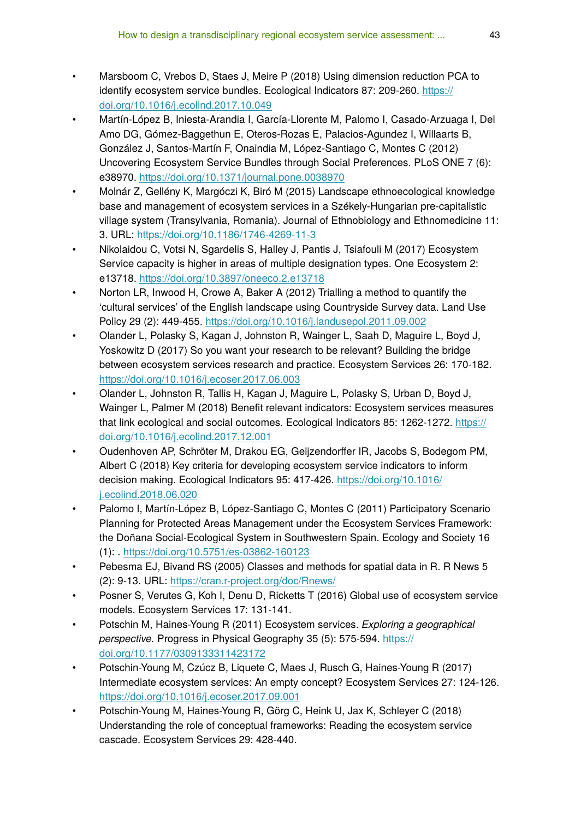- Marsboom C, Vrebos D, Staes J, Meire P (2018) Using dimension reduction PCA to identify ecosystem service bundles. Ecological Indicators 87: 209-260. [https://](https://doi.org/10.1016/j.ecolind.2017.10.049) [doi.org/10.1016/j.ecolind.2017.10.049](https://doi.org/10.1016/j.ecolind.2017.10.049)
- Martín-López B, Iniesta-Arandia I, García-Llorente M, Palomo I, Casado-Arzuaga I, Del Amo DG, Gómez-Baggethun E, Oteros-Rozas E, Palacios-Agundez I, Willaarts B, González J, Santos-Martín F, Onaindia M, López-Santiago C, Montes C (2012) Uncovering Ecosystem Service Bundles through Social Preferences. PLoS ONE 7 (6): e38970. <https://doi.org/10.1371/journal.pone.0038970>
- Molnár Z, Gellény K, Margóczi K, Biró M (2015) Landscape ethnoecological knowledge base and management of ecosystem services in a Székely-Hungarian pre-capitalistic village system (Transylvania, Romania). Journal of Ethnobiology and Ethnomedicine 11: 3. URL: <https://doi.org/10.1186/1746-4269-11-3>
- Nikolaidou C, Votsi N, Sgardelis S, Halley J, Pantis J, Tsiafouli M (2017) Ecosystem Service capacity is higher in areas of multiple designation types. One Ecosystem 2: e13718. <https://doi.org/10.3897/oneeco.2.e13718>
- Norton LR, Inwood H, Crowe A, Baker A (2012) Trialling a method to quantify the 'cultural services' of the English landscape using Countryside Survey data. Land Use Policy 29 (2): 449‑455. <https://doi.org/10.1016/j.landusepol.2011.09.002>
- Olander L, Polasky S, Kagan J, Johnston R, Wainger L, Saah D, Maguire L, Boyd J, Yoskowitz D (2017) So you want your research to be relevant? Building the bridge between ecosystem services research and practice. Ecosystem Services 26: 170‑182. <https://doi.org/10.1016/j.ecoser.2017.06.003>
- Olander L, Johnston R, Tallis H, Kagan J, Maguire L, Polasky S, Urban D, Boyd J, Wainger L, Palmer M (2018) Benefit relevant indicators: Ecosystem services measures that link ecological and social outcomes. Ecological Indicators 85: 1262-1272. [https://](https://doi.org/10.1016/j.ecolind.2017.12.001) [doi.org/10.1016/j.ecolind.2017.12.001](https://doi.org/10.1016/j.ecolind.2017.12.001)
- Oudenhoven AP, Schröter M, Drakou EG, Geijzendorffer IR, Jacobs S, Bodegom PM, Albert C (2018) Key criteria for developing ecosystem service indicators to inform decision making. Ecological Indicators 95: 417-426. [https://doi.org/10.1016/](https://doi.org/10.1016/j.ecolind.2018.06.020) [j.ecolind.2018.06.020](https://doi.org/10.1016/j.ecolind.2018.06.020)
- Palomo I, Martín-López B, López-Santiago C, Montes C (2011) Participatory Scenario Planning for Protected Areas Management under the Ecosystem Services Framework: the Doñana Social-Ecological System in Southwestern Spain. Ecology and Society 16 (1): .<https://doi.org/10.5751/es-03862-160123>
- Pebesma EJ, Bivand RS (2005) Classes and methods for spatial data in R. R News 5 (2): 9‑13. URL:<https://cran.r-project.org/doc/Rnews/>
- Posner S, Verutes G, Koh I, Denu D, Ricketts T (2016) Global use of ecosystem service models. Ecosystem Services 17: 131‑141.
- Potschin M, Haines-Young R (2011) Ecosystem services. *Exploring a geographical perspective.* Progress in Physical Geography 35 (5): 575-594. [https://](https://doi.org/10.1177/0309133311423172) [doi.org/10.1177/0309133311423172](https://doi.org/10.1177/0309133311423172)
- Potschin-Young M, Czúcz B, Liquete C, Maes J, Rusch G, Haines-Young R (2017) Intermediate ecosystem services: An empty concept? Ecosystem Services 27: 124‑126. <https://doi.org/10.1016/j.ecoser.2017.09.001>
- Potschin-Young M, Haines-Young R, Görg C, Heink U, Jax K, Schleyer C (2018) Understanding the role of conceptual frameworks: Reading the ecosystem service cascade. Ecosystem Services 29: 428‑440.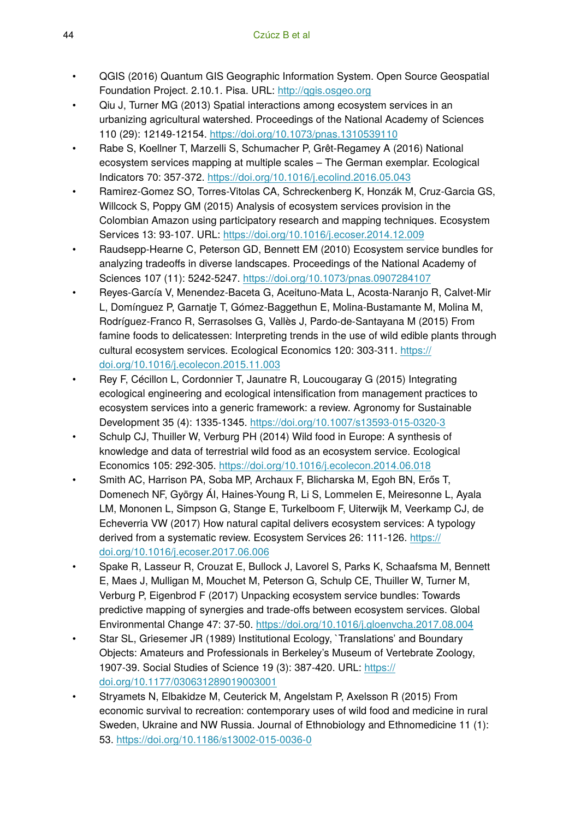- QGIS (2016) Quantum GIS Geographic Information System. Open Source Geospatial Foundation Project. 2.10.1. Pisa. URL: <http://qgis.osgeo.org>
- Qiu J, Turner MG (2013) Spatial interactions among ecosystem services in an urbanizing agricultural watershed. Proceedings of the National Academy of Sciences 110 (29): 12149‑12154.<https://doi.org/10.1073/pnas.1310539110>
- Rabe S, Koellner T, Marzelli S, Schumacher P, Grêt-Regamey A (2016) National ecosystem services mapping at multiple scales – The German exemplar. Ecological Indicators 70: 357‑372.<https://doi.org/10.1016/j.ecolind.2016.05.043>
- Ramirez-Gomez SO, Torres-Vitolas CA, Schreckenberg K, Honzák M, Cruz-Garcia GS, Willcock S, Poppy GM (2015) Analysis of ecosystem services provision in the Colombian Amazon using participatory research and mapping techniques. Ecosystem Services 13: 93‑107. URL:<https://doi.org/10.1016/j.ecoser.2014.12.009>
- Raudsepp-Hearne C, Peterson GD, Bennett EM (2010) Ecosystem service bundles for analyzing tradeoffs in diverse landscapes. Proceedings of the National Academy of Sciences 107 (11): 5242‑5247. <https://doi.org/10.1073/pnas.0907284107>
- Reyes-García V, Menendez-Baceta G, Aceituno-Mata L, Acosta-Naranjo R, Calvet-Mir L, Domínguez P, Garnatje T, Gómez-Baggethun E, Molina-Bustamante M, Molina M, Rodríguez-Franco R, Serrasolses G, Vallès J, Pardo-de-Santayana M (2015) From famine foods to delicatessen: Interpreting trends in the use of wild edible plants through cultural ecosystem services. Ecological Economics 120: 303‑311. [https://](https://doi.org/10.1016/j.ecolecon.2015.11.003) [doi.org/10.1016/j.ecolecon.2015.11.003](https://doi.org/10.1016/j.ecolecon.2015.11.003)
- Rey F, Cécillon L, Cordonnier T, Jaunatre R, Loucougaray G (2015) Integrating ecological engineering and ecological intensification from management practices to ecosystem services into a generic framework: a review. Agronomy for Sustainable Development 35 (4): 1335‑1345. <https://doi.org/10.1007/s13593-015-0320-3>
- Schulp CJ, Thuiller W, Verburg PH (2014) Wild food in Europe: A synthesis of knowledge and data of terrestrial wild food as an ecosystem service. Ecological Economics 105: 292‑305. <https://doi.org/10.1016/j.ecolecon.2014.06.018>
- Smith AC, Harrison PA, Soba MP, Archaux F, Blicharska M, Egoh BN, Erős T, Domenech NF, György ÁI, Haines-Young R, Li S, Lommelen E, Meiresonne L, Ayala LM, Mononen L, Simpson G, Stange E, Turkelboom F, Uiterwijk M, Veerkamp CJ, de Echeverria VW (2017) How natural capital delivers ecosystem services: A typology derived from a systematic review. Ecosystem Services 26: 111‑126. [https://](https://doi.org/10.1016/j.ecoser.2017.06.006) [doi.org/10.1016/j.ecoser.2017.06.006](https://doi.org/10.1016/j.ecoser.2017.06.006)
- Spake R, Lasseur R, Crouzat E, Bullock J, Lavorel S, Parks K, Schaafsma M, Bennett E, Maes J, Mulligan M, Mouchet M, Peterson G, Schulp CE, Thuiller W, Turner M, Verburg P, Eigenbrod F (2017) Unpacking ecosystem service bundles: Towards predictive mapping of synergies and trade-offs between ecosystem services. Global Environmental Change 47: 37‑50. <https://doi.org/10.1016/j.gloenvcha.2017.08.004>
- Star SL, Griesemer JR (1989) Institutional Ecology, `Translations' and Boundary Objects: Amateurs and Professionals in Berkeley's Museum of Vertebrate Zoology, 1907-39. Social Studies of Science 19 (3): 387‑420. URL: [https://](https://doi.org/10.1177/030631289019003001) [doi.org/10.1177/030631289019003001](https://doi.org/10.1177/030631289019003001)
- Stryamets N, Elbakidze M, Ceuterick M, Angelstam P, Axelsson R (2015) From economic survival to recreation: contemporary uses of wild food and medicine in rural Sweden, Ukraine and NW Russia. Journal of Ethnobiology and Ethnomedicine 11 (1): 53. <https://doi.org/10.1186/s13002-015-0036-0>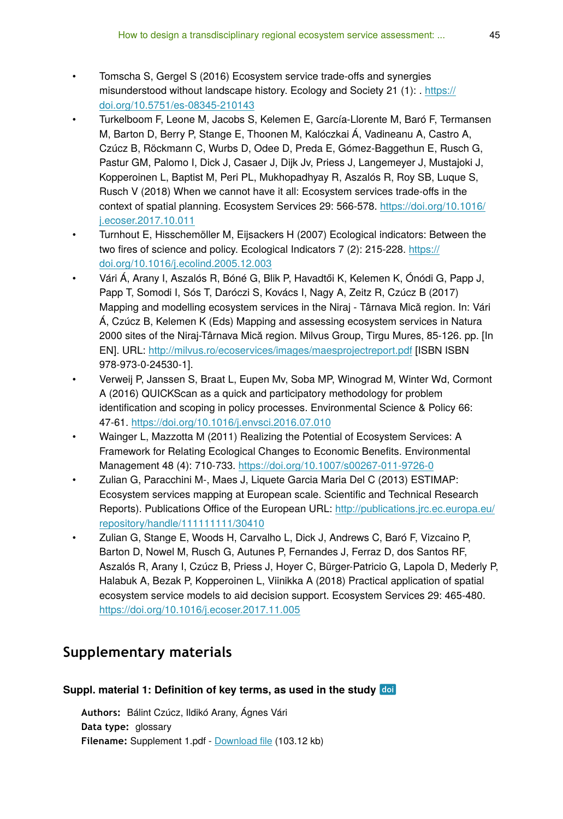- Tomscha S, Gergel S (2016) Ecosystem service trade-offs and synergies misunderstood without landscape history. Ecology and Society 21 (1): . [https://](https://doi.org/10.5751/es-08345-210143) [doi.org/10.5751/es-08345-210143](https://doi.org/10.5751/es-08345-210143)
- Turkelboom F, Leone M, Jacobs S, Kelemen E, García-Llorente M, Baró F, Termansen M, Barton D, Berry P, Stange E, Thoonen M, Kalóczkai Á, Vadineanu A, Castro A, Czúcz B, Röckmann C, Wurbs D, Odee D, Preda E, Gómez-Baggethun E, Rusch G, Pastur GM, Palomo I, Dick J, Casaer J, Dijk Jv, Priess J, Langemeyer J, Mustajoki J, Kopperoinen L, Baptist M, Peri PL, Mukhopadhyay R, Aszalós R, Roy SB, Luque S, Rusch V (2018) When we cannot have it all: Ecosystem services trade-offs in the context of spatial planning. Ecosystem Services 29: 566‑578. [https://doi.org/10.1016/](https://doi.org/10.1016/j.ecoser.2017.10.011) [j.ecoser.2017.10.011](https://doi.org/10.1016/j.ecoser.2017.10.011)
- Turnhout E, Hisschemöller M, Eijsackers H (2007) Ecological indicators: Between the two fires of science and policy. Ecological Indicators 7 (2): 215-228. [https://](https://doi.org/10.1016/j.ecolind.2005.12.003) [doi.org/10.1016/j.ecolind.2005.12.003](https://doi.org/10.1016/j.ecolind.2005.12.003)
- Vári Á, Arany I, Aszalós R, Bóné G, Blik P, Havadtői K, Kelemen K, Ónódi G, Papp J, Papp T, Somodi I, Sós T, Daróczi S, Kovács I, Nagy A, Zeitz R, Czúcz B (2017) Mapping and modelling ecosystem services in the Niraj - Târnava Mică region. In: Vári Á, Czúcz B, Kelemen K (Eds) Mapping and assessing ecosystem services in Natura 2000 sites of the Niraj-Târnava Mică region. Milvus Group, Tirgu Mures, 85-126. pp. [In EN]. URL:<http://milvus.ro/ecoservices/images/maesprojectreport.pdf> [ISBN ISBN 978-973-0-24530-1].
- Verweij P, Janssen S, Braat L, Eupen Mv, Soba MP, Winograd M, Winter Wd, Cormont A (2016) QUICKScan as a quick and participatory methodology for problem identification and scoping in policy processes. Environmental Science & Policy 66: 47‑61.<https://doi.org/10.1016/j.envsci.2016.07.010>
- Wainger L, Mazzotta M (2011) Realizing the Potential of Ecosystem Services: A Framework for Relating Ecological Changes to Economic Benefits. Environmental Management 48 (4): 710‑733. <https://doi.org/10.1007/s00267-011-9726-0>
- Zulian G, Paracchini M-, Maes J, Liquete Garcia Maria Del C (2013) ESTIMAP: Ecosystem services mapping at European scale. Scientific and Technical Research Reports). Publications Office of the European URL: [http://publications.jrc.ec.europa.eu/](http://publications.jrc.ec.europa.eu/repository/handle/111111111/30410) [repository/handle/111111111/30410](http://publications.jrc.ec.europa.eu/repository/handle/111111111/30410)
- Zulian G, Stange E, Woods H, Carvalho L, Dick J, Andrews C, Baró F, Vizcaino P, Barton D, Nowel M, Rusch G, Autunes P, Fernandes J, Ferraz D, dos Santos RF, Aszalós R, Arany I, Czúcz B, Priess J, Hoyer C, Bürger-Patricio G, Lapola D, Mederly P, Halabuk A, Bezak P, Kopperoinen L, Viinikka A (2018) Practical application of spatial ecosystem service models to aid decision support. Ecosystem Services 29: 465‑480. <https://doi.org/10.1016/j.ecoser.2017.11.005>

# **Supplementary materials**

#### **Suppl. material 1: Definition of key terms, as used in the study**

**Authors:** Bálint Czúcz, Ildikó Arany, Ágnes Vári **Data type:** glossary **Filename:** Supplement 1.pdf - [Download](https://arpha.pensoft.net/getfile.php?filename=oo_200120.pdf) file (103.12 kb)